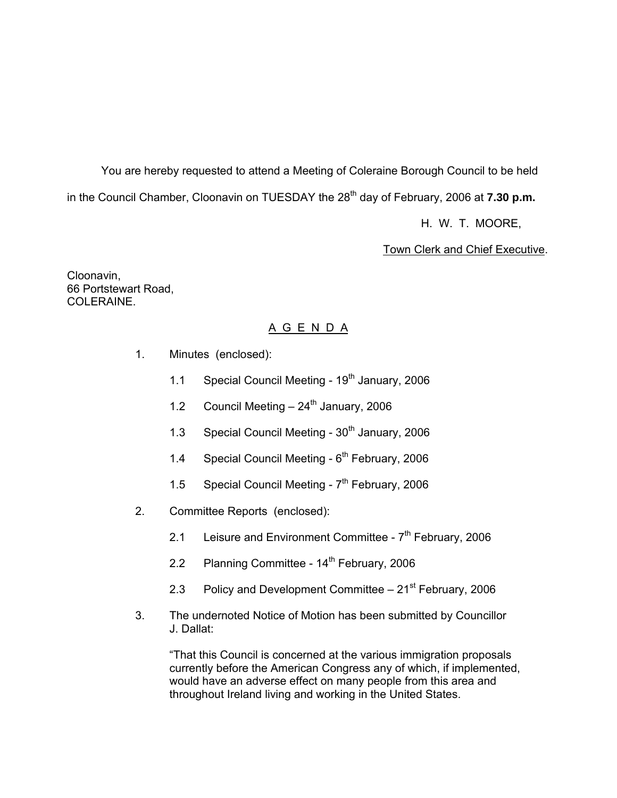You are hereby requested to attend a Meeting of Coleraine Borough Council to be held in the Council Chamber, Cloonavin on TUESDAY the 28<sup>th</sup> day of February, 2006 at **7.30 p.m.** 

H. W. T. MOORE,

Town Clerk and Chief Executive.

Cloonavin, 66 Portstewart Road, COLERAINE.

## A G E N D A

- 1. Minutes (enclosed):
	- 1.1 Special Council Meeting 19<sup>th</sup> January, 2006
	- 1.2 Council Meeting  $-24^{\text{th}}$  January, 2006
	- 1.3 Special Council Meeting 30<sup>th</sup> January, 2006
	- 1.4 Special Council Meeting  $6<sup>th</sup>$  February, 2006
	- 1.5 Special Council Meeting  $7<sup>th</sup>$  February, 2006
- 2. Committee Reports (enclosed):
	- 2.1 Leisure and Environment Committee  $7<sup>th</sup>$  February, 2006
	- 2.2 Planning Committee 14<sup>th</sup> February, 2006
	- 2.3 Policy and Development Committee  $-21<sup>st</sup>$  February, 2006
- 3. The undernoted Notice of Motion has been submitted by Councillor J. Dallat:

"That this Council is concerned at the various immigration proposals currently before the American Congress any of which, if implemented, would have an adverse effect on many people from this area and throughout Ireland living and working in the United States.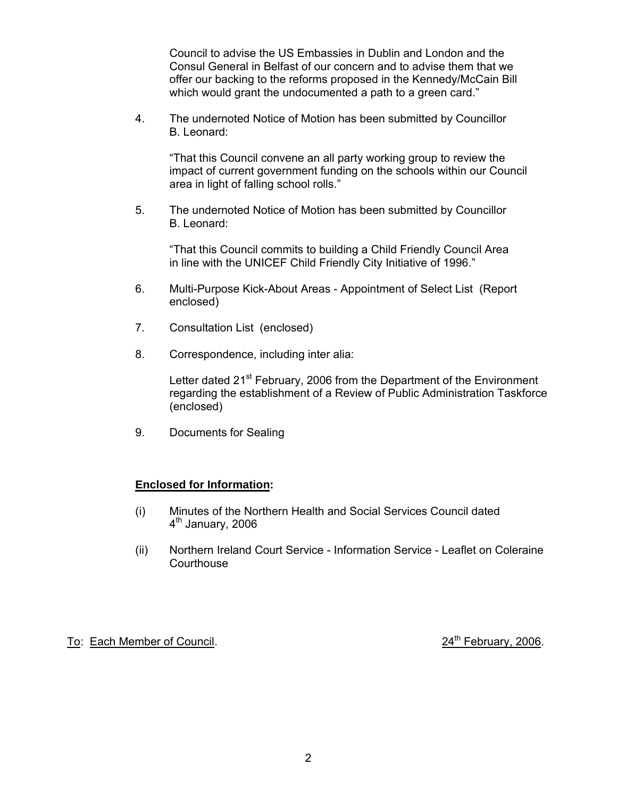Council to advise the US Embassies in Dublin and London and the Consul General in Belfast of our concern and to advise them that we offer our backing to the reforms proposed in the Kennedy/McCain Bill which would grant the undocumented a path to a green card."

4. The undernoted Notice of Motion has been submitted by Councillor B. Leonard:

 "That this Council convene an all party working group to review the impact of current government funding on the schools within our Council area in light of falling school rolls."

5. The undernoted Notice of Motion has been submitted by Councillor B. Leonard:

 "That this Council commits to building a Child Friendly Council Area in line with the UNICEF Child Friendly City Initiative of 1996."

- 6. Multi-Purpose Kick-About Areas Appointment of Select List (Report enclosed)
- 7. Consultation List (enclosed)
- 8. Correspondence, including inter alia:

Letter dated 21<sup>st</sup> February, 2006 from the Department of the Environment regarding the establishment of a Review of Public Administration Taskforce (enclosed)

9. Documents for Sealing

## **Enclosed for Information:**

- (i) Minutes of the Northern Health and Social Services Council dated  $4<sup>th</sup>$  January, 2006
- (ii) Northern Ireland Court Service Information Service Leaflet on Coleraine **Courthouse**

To: Each Member of Council. 2006. To: Each Member of Council.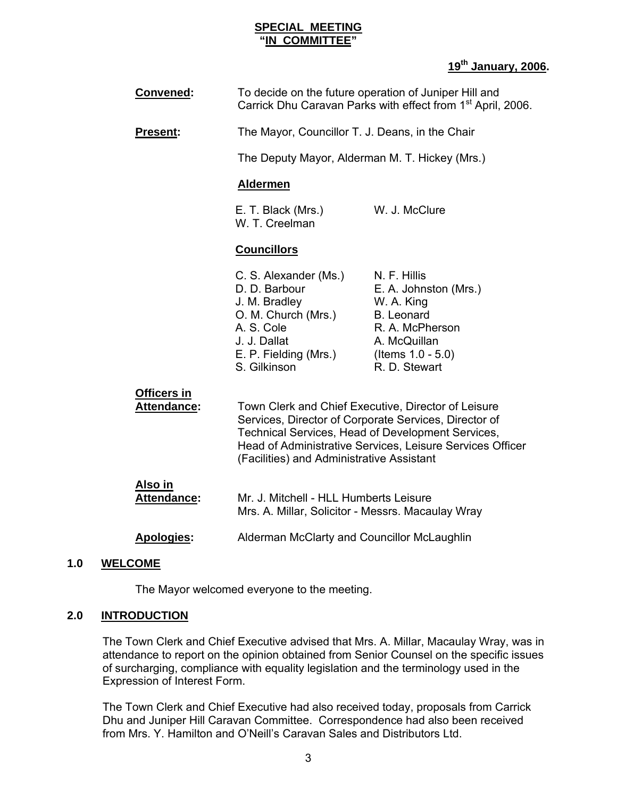#### **SPECIAL MEETING "IN COMMITTEE"**

## **19th January, 2006.**

| <b>Convened:</b>                         | To decide on the future operation of Juniper Hill and<br>Carrick Dhu Caravan Parks with effect from 1 <sup>st</sup> April, 2006.                                                                                                                                            |                                                                                                                                                      |
|------------------------------------------|-----------------------------------------------------------------------------------------------------------------------------------------------------------------------------------------------------------------------------------------------------------------------------|------------------------------------------------------------------------------------------------------------------------------------------------------|
| <b>Present:</b>                          | The Mayor, Councillor T. J. Deans, in the Chair                                                                                                                                                                                                                             |                                                                                                                                                      |
|                                          | The Deputy Mayor, Alderman M. T. Hickey (Mrs.)                                                                                                                                                                                                                              |                                                                                                                                                      |
|                                          | <b>Aldermen</b>                                                                                                                                                                                                                                                             |                                                                                                                                                      |
|                                          | E. T. Black (Mrs.)<br>W. T. Creelman                                                                                                                                                                                                                                        | W. J. McClure                                                                                                                                        |
|                                          | <b>Councillors</b>                                                                                                                                                                                                                                                          |                                                                                                                                                      |
|                                          | C. S. Alexander (Ms.)<br>D. D. Barbour<br>J. M. Bradley<br>O. M. Church (Mrs.)<br>A. S. Cole<br>J. J. Dallat<br>E. P. Fielding (Mrs.)<br>S. Gilkinson                                                                                                                       | N. F. Hillis<br>E. A. Johnston (Mrs.)<br>W. A. King<br><b>B.</b> Leonard<br>R. A. McPherson<br>A. McQuillan<br>(Items $1.0 - 5.0$ )<br>R. D. Stewart |
| <b>Officers in</b><br><b>Attendance:</b> | Town Clerk and Chief Executive, Director of Leisure<br>Services, Director of Corporate Services, Director of<br>Technical Services, Head of Development Services,<br>Head of Administrative Services, Leisure Services Officer<br>(Facilities) and Administrative Assistant |                                                                                                                                                      |
| <u>Also in</u><br><b>Attendance:</b>     | Mr. J. Mitchell - HLL Humberts Leisure<br>Mrs. A. Millar, Solicitor - Messrs. Macaulay Wray                                                                                                                                                                                 |                                                                                                                                                      |
| <b>Apologies:</b>                        | Alderman McClarty and Councillor McLaughlin                                                                                                                                                                                                                                 |                                                                                                                                                      |
|                                          |                                                                                                                                                                                                                                                                             |                                                                                                                                                      |

## **1.0 WELCOME**

The Mayor welcomed everyone to the meeting.

## **2.0 INTRODUCTION**

The Town Clerk and Chief Executive advised that Mrs. A. Millar, Macaulay Wray, was in attendance to report on the opinion obtained from Senior Counsel on the specific issues of surcharging, compliance with equality legislation and the terminology used in the Expression of Interest Form.

The Town Clerk and Chief Executive had also received today, proposals from Carrick Dhu and Juniper Hill Caravan Committee. Correspondence had also been received from Mrs. Y. Hamilton and O'Neill's Caravan Sales and Distributors Ltd.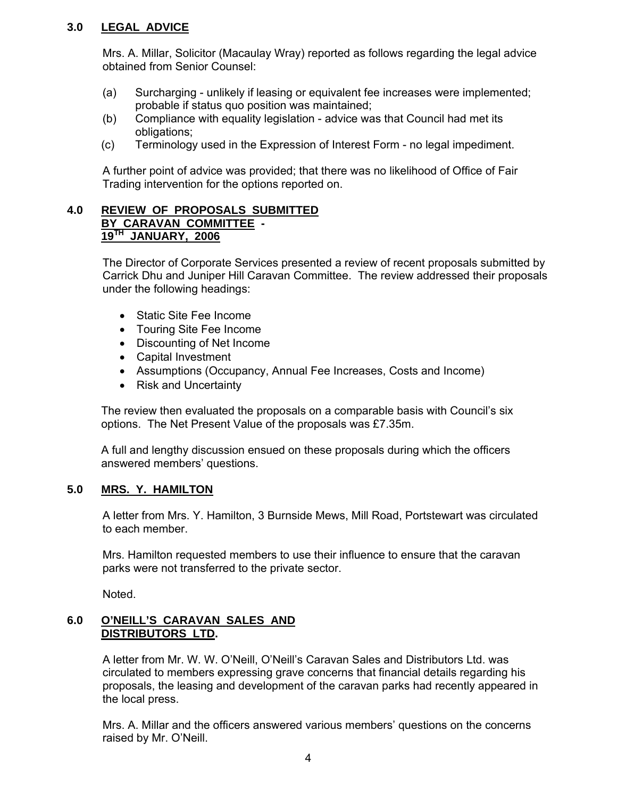## **3.0 LEGAL ADVICE**

Mrs. A. Millar, Solicitor (Macaulay Wray) reported as follows regarding the legal advice obtained from Senior Counsel:

- (a) Surcharging unlikely if leasing or equivalent fee increases were implemented; probable if status quo position was maintained;
- (b) Compliance with equality legislation advice was that Council had met its obligations;
- (c) Terminology used in the Expression of Interest Form no legal impediment.

A further point of advice was provided; that there was no likelihood of Office of Fair Trading intervention for the options reported on.

#### **4.0 REVIEW OF PROPOSALS SUBMITTED BY CARAVAN COMMITTEE - 19TH JANUARY, 2006**

The Director of Corporate Services presented a review of recent proposals submitted by Carrick Dhu and Juniper Hill Caravan Committee. The review addressed their proposals under the following headings:

- Static Site Fee Income
- Touring Site Fee Income
- Discounting of Net Income
- Capital Investment
- Assumptions (Occupancy, Annual Fee Increases, Costs and Income)
- Risk and Uncertainty

The review then evaluated the proposals on a comparable basis with Council's six options. The Net Present Value of the proposals was £7.35m.

A full and lengthy discussion ensued on these proposals during which the officers answered members' questions.

## **5.0 MRS. Y. HAMILTON**

A letter from Mrs. Y. Hamilton, 3 Burnside Mews, Mill Road, Portstewart was circulated to each member.

Mrs. Hamilton requested members to use their influence to ensure that the caravan parks were not transferred to the private sector.

Noted.

## **6.0 O'NEILL'S CARAVAN SALES AND DISTRIBUTORS LTD.**

A letter from Mr. W. W. O'Neill, O'Neill's Caravan Sales and Distributors Ltd. was circulated to members expressing grave concerns that financial details regarding his proposals, the leasing and development of the caravan parks had recently appeared in the local press.

Mrs. A. Millar and the officers answered various members' questions on the concerns raised by Mr. O'Neill.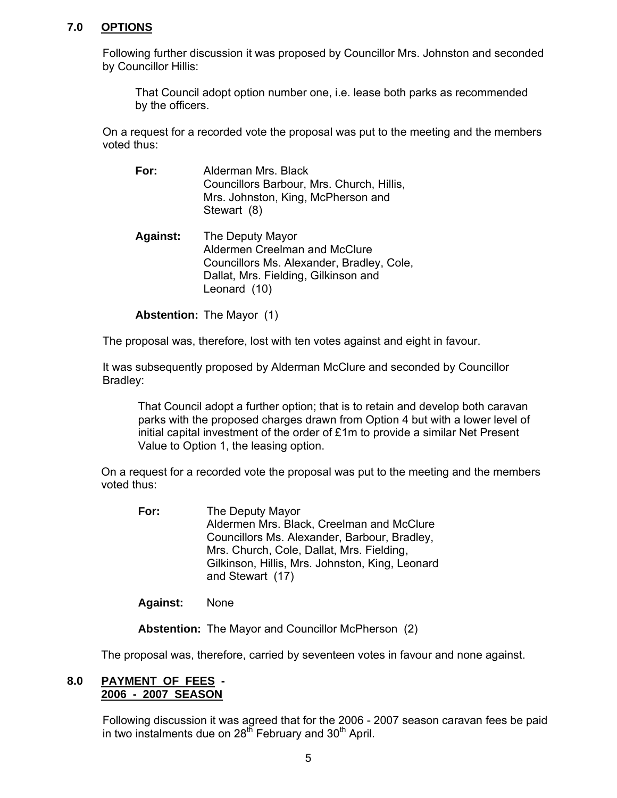## **7.0 OPTIONS**

Following further discussion it was proposed by Councillor Mrs. Johnston and seconded by Councillor Hillis:

 That Council adopt option number one, i.e. lease both parks as recommended by the officers.

On a request for a recorded vote the proposal was put to the meeting and the members voted thus:

- **For:** Alderman Mrs. Black Councillors Barbour, Mrs. Church, Hillis, Mrs. Johnston, King, McPherson and Stewart (8)
- **Against:** The Deputy Mayor Aldermen Creelman and McClure Councillors Ms. Alexander, Bradley, Cole, Dallat, Mrs. Fielding, Gilkinson and Leonard (10)

**Abstention:** The Mayor (1)

The proposal was, therefore, lost with ten votes against and eight in favour.

It was subsequently proposed by Alderman McClure and seconded by Councillor Bradley:

That Council adopt a further option; that is to retain and develop both caravan parks with the proposed charges drawn from Option 4 but with a lower level of initial capital investment of the order of £1m to provide a similar Net Present Value to Option 1, the leasing option.

 On a request for a recorded vote the proposal was put to the meeting and the members voted thus:

**For:** The Deputy Mayor Aldermen Mrs. Black, Creelman and McClure Councillors Ms. Alexander, Barbour, Bradley, Mrs. Church, Cole, Dallat, Mrs. Fielding, Gilkinson, Hillis, Mrs. Johnston, King, Leonard and Stewart (17)

**Against:** None

**Abstention:** The Mayor and Councillor McPherson (2)

The proposal was, therefore, carried by seventeen votes in favour and none against.

#### **8.0 PAYMENT OF FEES - 2006 - 2007 SEASON**

Following discussion it was agreed that for the 2006 - 2007 season caravan fees be paid in two instalments due on  $28<sup>th</sup>$  February and  $30<sup>th</sup>$  April.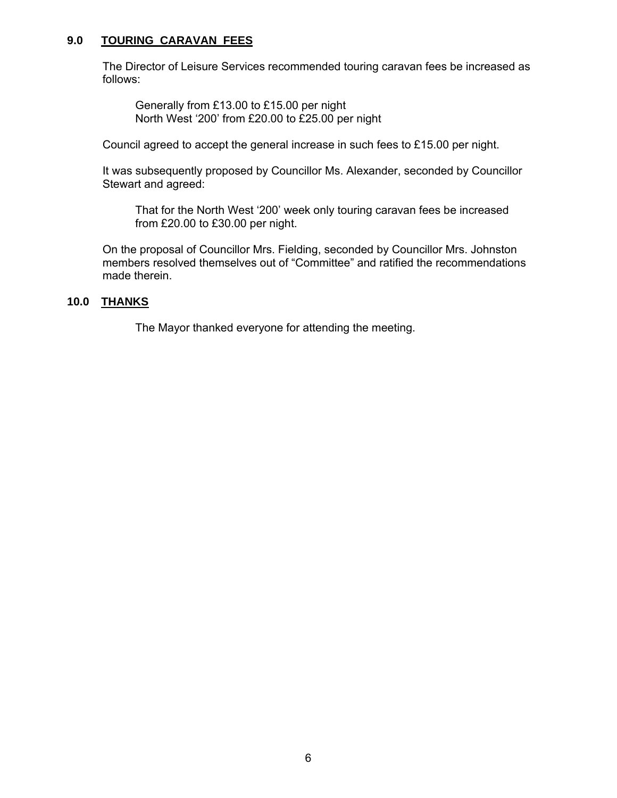## **9.0 TOURING CARAVAN FEES**

The Director of Leisure Services recommended touring caravan fees be increased as follows:

 Generally from £13.00 to £15.00 per night North West '200' from £20.00 to £25.00 per night

Council agreed to accept the general increase in such fees to £15.00 per night.

It was subsequently proposed by Councillor Ms. Alexander, seconded by Councillor Stewart and agreed:

 That for the North West '200' week only touring caravan fees be increased from £20.00 to £30.00 per night.

On the proposal of Councillor Mrs. Fielding, seconded by Councillor Mrs. Johnston members resolved themselves out of "Committee" and ratified the recommendations made therein.

## **10.0 THANKS**

The Mayor thanked everyone for attending the meeting.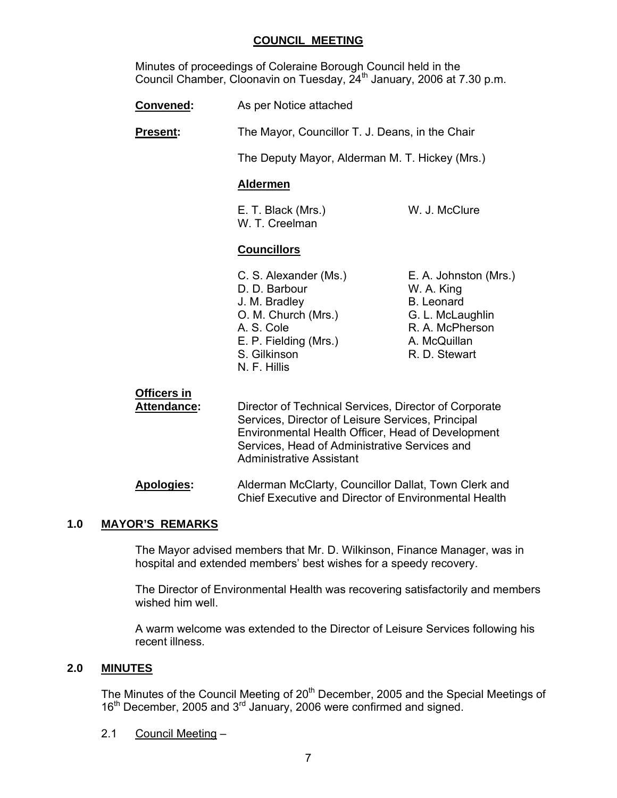## **COUNCIL MEETING**

 Minutes of proceedings of Coleraine Borough Council held in the Council Chamber, Cloonavin on Tuesday, 24<sup>th</sup> January, 2006 at 7.30 p.m.

**Convened:** As per Notice attached

**Present:** The Mayor, Councillor T. J. Deans, in the Chair

The Deputy Mayor, Alderman M. T. Hickey (Mrs.)

#### **Aldermen**

E. T. Black (Mrs.) W. J. McClure W. T. Creelman

## **Councillors**

- D. D. Barbour W. A. King J. M. Bradley B. Leonard O. M. Church (Mrs.) G. L. McLaughlin A. S. Cole R. A. McPherson E. P. Fielding (Mrs.) A. McQuillan S. Gilkinson R. D. Stewart N. F. Hillis
- C. S. Alexander (Ms.) E. A. Johnston (Mrs.)

## **Officers in Attendance:** Director of Technical Services, Director of Corporate Services, Director of Leisure Services, Principal Environmental Health Officer, Head of Development Services, Head of Administrative Services and Administrative Assistant

 **Apologies:** Alderman McClarty, Councillor Dallat, Town Clerk and Chief Executive and Director of Environmental Health

## **1.0 MAYOR'S REMARKS**

The Mayor advised members that Mr. D. Wilkinson, Finance Manager, was in hospital and extended members' best wishes for a speedy recovery.

The Director of Environmental Health was recovering satisfactorily and members wished him well.

A warm welcome was extended to the Director of Leisure Services following his recent illness.

## **2.0 MINUTES**

The Minutes of the Council Meeting of 20<sup>th</sup> December, 2005 and the Special Meetings of 16<sup>th</sup> December, 2005 and 3<sup>rd</sup> January, 2006 were confirmed and signed.

2.1 Council Meeting –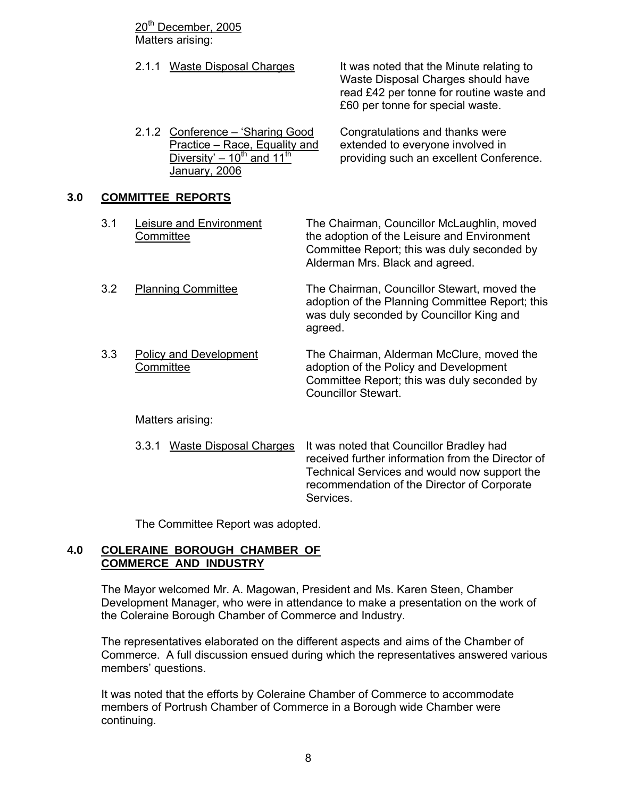20<sup>th</sup> December, 2005 Matters arising:

2.1.1 Waste Disposal Charges It was noted that the Minute relating to Waste Disposal Charges should have read £42 per tonne for routine waste and £60 per tonne for special waste.

2.1.2 Conference – 'Sharing Good Congratulations and thanks were Practice – Race, Equality and extended to everyone involved in<br>Diversity' – 10<sup>th</sup> and 11<sup>th</sup> providing such an excellent Confe providing such an excellent Conference. January, 2006

## **3.0 COMMITTEE REPORTS**

| 3.1 | Leisure and Environment<br>Committee       | The Chairman, Councillor McLaughlin, moved<br>the adoption of the Leisure and Environment<br>Committee Report; this was duly seconded by<br>Alderman Mrs. Black and agreed.                               |
|-----|--------------------------------------------|-----------------------------------------------------------------------------------------------------------------------------------------------------------------------------------------------------------|
| 3.2 | <b>Planning Committee</b>                  | The Chairman, Councillor Stewart, moved the<br>adoption of the Planning Committee Report; this<br>was duly seconded by Councillor King and<br>agreed.                                                     |
| 3.3 | <b>Policy and Development</b><br>Committee | The Chairman, Alderman McClure, moved the<br>adoption of the Policy and Development<br>Committee Report; this was duly seconded by<br><b>Councillor Stewart.</b>                                          |
|     | Matters arising:                           |                                                                                                                                                                                                           |
|     | <b>Waste Disposal Charges</b><br>3.3.1     | It was noted that Councillor Bradley had<br>received further information from the Director of<br>Technical Services and would now support the<br>recommendation of the Director of Corporate<br>Services. |

The Committee Report was adopted.

## **4.0 COLERAINE BOROUGH CHAMBER OF COMMERCE AND INDUSTRY**

 The Mayor welcomed Mr. A. Magowan, President and Ms. Karen Steen, Chamber Development Manager, who were in attendance to make a presentation on the work of the Coleraine Borough Chamber of Commerce and Industry.

 The representatives elaborated on the different aspects and aims of the Chamber of Commerce. A full discussion ensued during which the representatives answered various members' questions.

 It was noted that the efforts by Coleraine Chamber of Commerce to accommodate members of Portrush Chamber of Commerce in a Borough wide Chamber were continuing.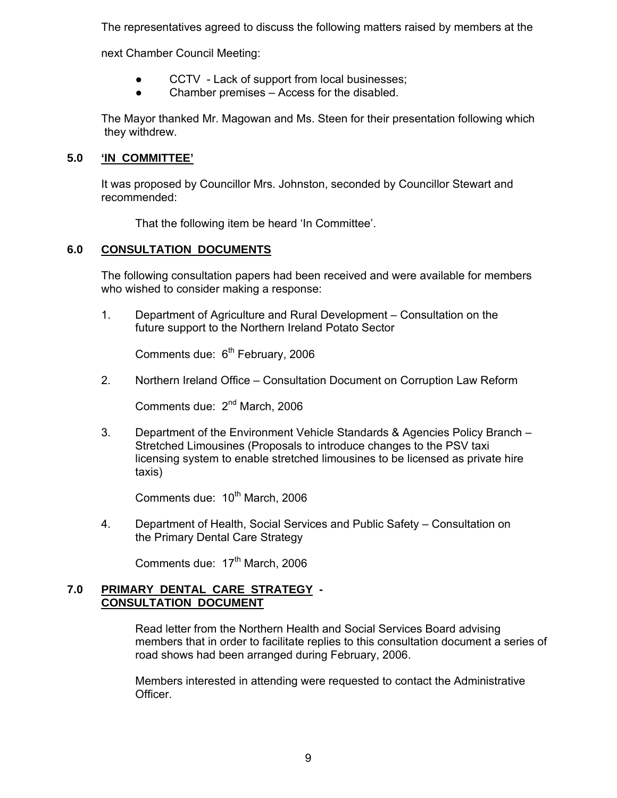The representatives agreed to discuss the following matters raised by members at the

next Chamber Council Meeting:

- CCTV Lack of support from local businesses;
- Chamber premises Access for the disabled.

 The Mayor thanked Mr. Magowan and Ms. Steen for their presentation following which they withdrew.

## **5.0 'IN COMMITTEE'**

 It was proposed by Councillor Mrs. Johnston, seconded by Councillor Stewart and recommended:

That the following item be heard 'In Committee'.

## **6.0 CONSULTATION DOCUMENTS**

 The following consultation papers had been received and were available for members who wished to consider making a response:

 1. Department of Agriculture and Rural Development – Consultation on the future support to the Northern Ireland Potato Sector

Comments due:  $6<sup>th</sup>$  February, 2006

2. Northern Ireland Office – Consultation Document on Corruption Law Reform

Comments due: 2<sup>nd</sup> March, 2006

 3. Department of the Environment Vehicle Standards & Agencies Policy Branch – Stretched Limousines (Proposals to introduce changes to the PSV taxi licensing system to enable stretched limousines to be licensed as private hire taxis)

Comments due: 10<sup>th</sup> March, 2006

 4. Department of Health, Social Services and Public Safety – Consultation on the Primary Dental Care Strategy

Comments due: 17<sup>th</sup> March, 2006

## **7.0 PRIMARY DENTAL CARE STRATEGY - CONSULTATION DOCUMENT**

 Read letter from the Northern Health and Social Services Board advising members that in order to facilitate replies to this consultation document a series of road shows had been arranged during February, 2006.

 Members interested in attending were requested to contact the Administrative Officer.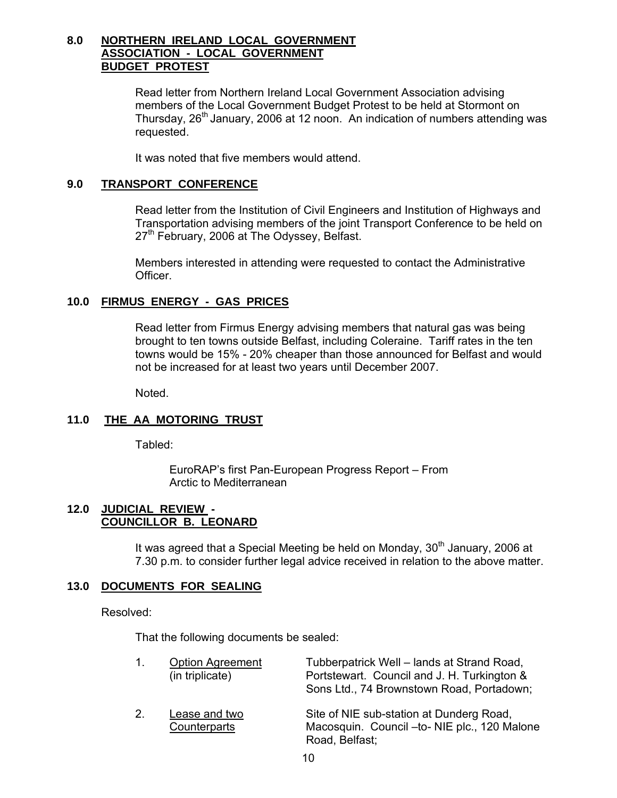## **8.0 NORTHERN IRELAND LOCAL GOVERNMENT ASSOCIATION - LOCAL GOVERNMENT BUDGET PROTEST**

 Read letter from Northern Ireland Local Government Association advising members of the Local Government Budget Protest to be held at Stormont on Thursday, 26<sup>th</sup> January, 2006 at 12 noon. An indication of numbers attending was requested.

It was noted that five members would attend.

## **9.0 TRANSPORT CONFERENCE**

 Read letter from the Institution of Civil Engineers and Institution of Highways and Transportation advising members of the joint Transport Conference to be held on 27<sup>th</sup> February, 2006 at The Odyssey, Belfast.

 Members interested in attending were requested to contact the Administrative Officer.

## **10.0 FIRMUS ENERGY - GAS PRICES**

 Read letter from Firmus Energy advising members that natural gas was being brought to ten towns outside Belfast, including Coleraine. Tariff rates in the ten towns would be 15% - 20% cheaper than those announced for Belfast and would not be increased for at least two years until December 2007.

Noted.

## **11.0 THE AA MOTORING TRUST**

Tabled:

 EuroRAP's first Pan-European Progress Report – From Arctic to Mediterranean

#### **12.0 JUDICIAL REVIEW - COUNCILLOR B. LEONARD**

It was agreed that a Special Meeting be held on Monday,  $30<sup>th</sup>$  January, 2006 at 7.30 p.m. to consider further legal advice received in relation to the above matter.

## **13.0 DOCUMENTS FOR SEALING**

Resolved:

That the following documents be sealed:

|         | <b>Option Agreement</b><br>(in triplicate) | Tubberpatrick Well - lands at Strand Road,<br>Portstewart. Council and J. H. Turkington &<br>Sons Ltd., 74 Brownstown Road, Portadown; |
|---------|--------------------------------------------|----------------------------------------------------------------------------------------------------------------------------------------|
| $2_{-}$ | Lease and two<br>Counterparts              | Site of NIE sub-station at Dunderg Road,<br>Macosquin. Council - to-NIE plc., 120 Malone<br>Road, Belfast;                             |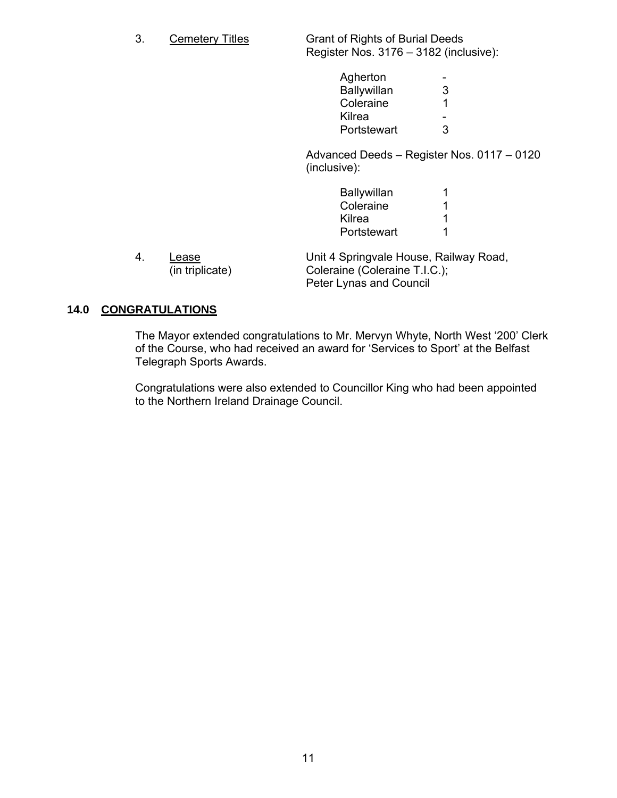3. Cemetery Titles Grant of Rights of Burial Deeds Register Nos. 3176 – 3182 (inclusive):

| Agherton    | $\overline{\phantom{0}}$ |
|-------------|--------------------------|
| Ballywillan | 3                        |
| Coleraine   | $\overline{1}$           |
| Kilrea      | $\sim$                   |
| Portstewart | 3                        |
|             |                          |

 Advanced Deeds – Register Nos. 0117 – 0120 (inclusive):

| Ballywillan |    |
|-------------|----|
| Coleraine   | -1 |
| Kilrea      |    |
| Portstewart | 1  |

| Lease           | Unit 4 Springvale House, Railway Road, |
|-----------------|----------------------------------------|
| (in triplicate) | Coleraine (Coleraine T.I.C.);          |
|                 | <b>Peter Lynas and Council</b>         |

## **14.0 CONGRATULATIONS**

 The Mayor extended congratulations to Mr. Mervyn Whyte, North West '200' Clerk of the Course, who had received an award for 'Services to Sport' at the Belfast Telegraph Sports Awards.

 Congratulations were also extended to Councillor King who had been appointed to the Northern Ireland Drainage Council.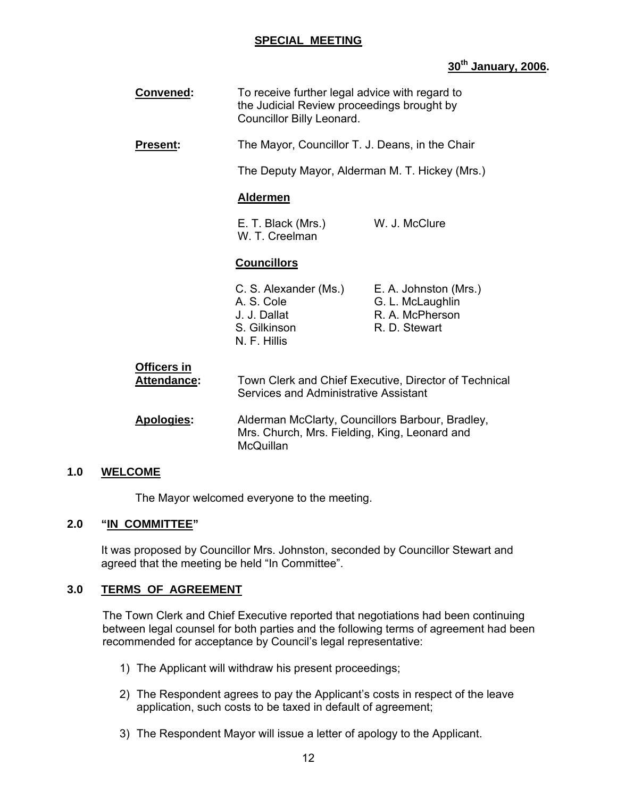## **SPECIAL MEETING**

## **30th January, 2006.**

| <b>Convened:</b>                         | To receive further legal advice with regard to<br>the Judicial Review proceedings brought by<br>Councillor Billy Leonard. |                                                                               |
|------------------------------------------|---------------------------------------------------------------------------------------------------------------------------|-------------------------------------------------------------------------------|
| <b>Present:</b>                          | The Mayor, Councillor T. J. Deans, in the Chair                                                                           |                                                                               |
|                                          | The Deputy Mayor, Alderman M. T. Hickey (Mrs.)                                                                            |                                                                               |
|                                          | <b>Aldermen</b>                                                                                                           |                                                                               |
|                                          | E. T. Black (Mrs.)<br>W. T. Creelman                                                                                      | W. J. McClure                                                                 |
|                                          | <b>Councillors</b>                                                                                                        |                                                                               |
|                                          | C. S. Alexander (Ms.)<br>A. S. Cole<br>J. J. Dallat<br>S. Gilkinson<br>N. F. Hillis                                       | E. A. Johnston (Mrs.)<br>G. L. McLaughlin<br>R. A. McPherson<br>R. D. Stewart |
| <b>Officers in</b><br><b>Attendance:</b> | Town Clerk and Chief Executive, Director of Technical<br>Services and Administrative Assistant                            |                                                                               |
| Apologies:                               | Alderman McClarty, Councillors Barbour, Bradley,<br>Mrs. Church, Mrs. Fielding, King, Leonard and<br>McQuillan            |                                                                               |

## **1.0 WELCOME**

The Mayor welcomed everyone to the meeting.

## **2.0 "IN COMMITTEE"**

 It was proposed by Councillor Mrs. Johnston, seconded by Councillor Stewart and agreed that the meeting be held "In Committee".

## **3.0 TERMS OF AGREEMENT**

The Town Clerk and Chief Executive reported that negotiations had been continuing between legal counsel for both parties and the following terms of agreement had been recommended for acceptance by Council's legal representative:

- 1) The Applicant will withdraw his present proceedings;
- 2) The Respondent agrees to pay the Applicant's costs in respect of the leave application, such costs to be taxed in default of agreement;
- 3) The Respondent Mayor will issue a letter of apology to the Applicant.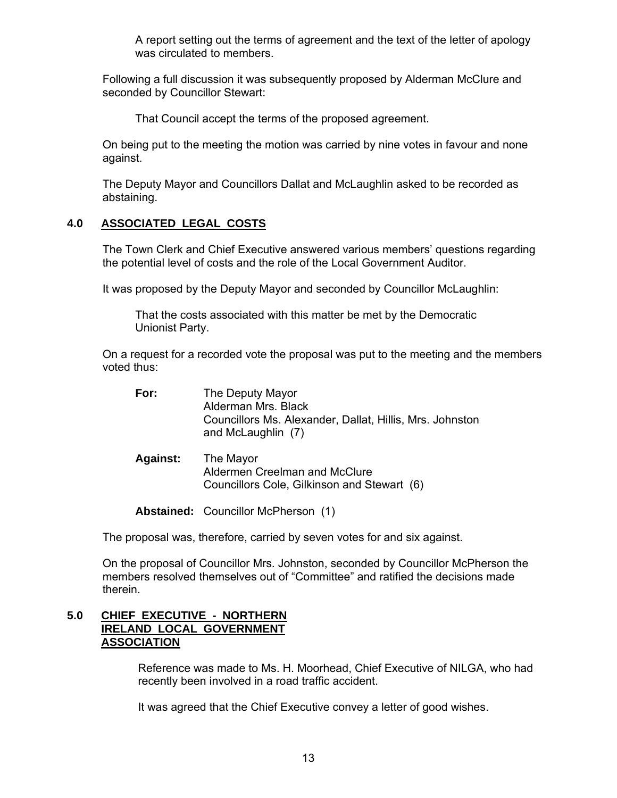A report setting out the terms of agreement and the text of the letter of apology was circulated to members.

Following a full discussion it was subsequently proposed by Alderman McClure and seconded by Councillor Stewart:

That Council accept the terms of the proposed agreement.

On being put to the meeting the motion was carried by nine votes in favour and none against.

The Deputy Mayor and Councillors Dallat and McLaughlin asked to be recorded as abstaining.

## **4.0 ASSOCIATED LEGAL COSTS**

The Town Clerk and Chief Executive answered various members' questions regarding the potential level of costs and the role of the Local Government Auditor.

It was proposed by the Deputy Mayor and seconded by Councillor McLaughlin:

 That the costs associated with this matter be met by the Democratic Unionist Party.

On a request for a recorded vote the proposal was put to the meeting and the members voted thus:

| For:            | The Deputy Mayor<br>Alderman Mrs. Black<br>Councillors Ms. Alexander, Dallat, Hillis, Mrs. Johnston<br>and McLaughlin (7) |
|-----------------|---------------------------------------------------------------------------------------------------------------------------|
| <b>Against:</b> | The Mayor<br>Aldermen Creelman and McClure<br>Councillors Cole, Gilkinson and Stewart (6)                                 |

Abstained: Councillor McPherson (1)

The proposal was, therefore, carried by seven votes for and six against.

On the proposal of Councillor Mrs. Johnston, seconded by Councillor McPherson the members resolved themselves out of "Committee" and ratified the decisions made therein.

## **5.0 CHIEF EXECUTIVE - NORTHERN IRELAND LOCAL GOVERNMENT ASSOCIATION**

Reference was made to Ms. H. Moorhead, Chief Executive of NILGA, who had recently been involved in a road traffic accident.

It was agreed that the Chief Executive convey a letter of good wishes.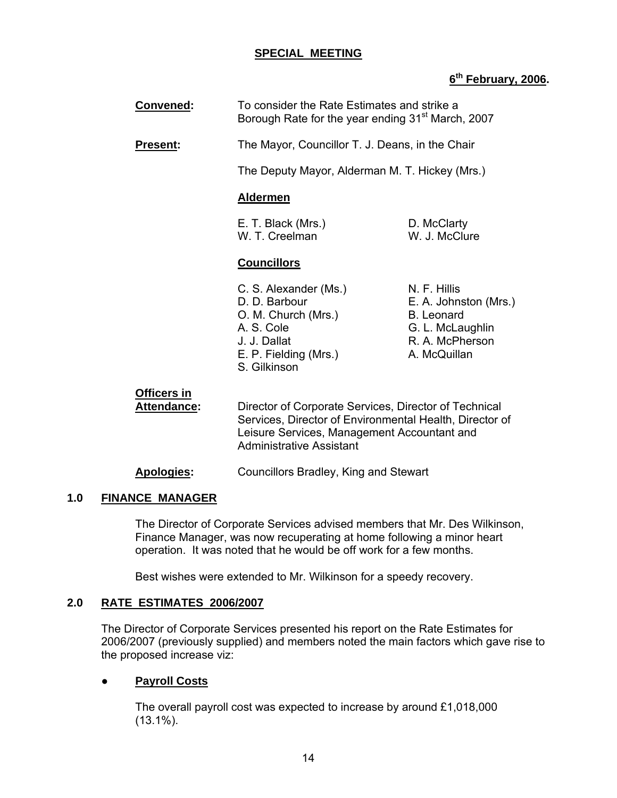## **SPECIAL MEETING**

## **6th February, 2006.**

| Convened:       | To consider the Rate Estimates and strike a<br>Borough Rate for the year ending 31 <sup>st</sup> March, 2007                         |                                                                                                                   |
|-----------------|--------------------------------------------------------------------------------------------------------------------------------------|-------------------------------------------------------------------------------------------------------------------|
| <b>Present:</b> | The Mayor, Councillor T. J. Deans, in the Chair                                                                                      |                                                                                                                   |
|                 | The Deputy Mayor, Alderman M. T. Hickey (Mrs.)                                                                                       |                                                                                                                   |
|                 | <b>Aldermen</b>                                                                                                                      |                                                                                                                   |
|                 | E. T. Black (Mrs.)<br>W. T. Creelman                                                                                                 | D. McClarty<br>W. J. McClure                                                                                      |
|                 | <b>Councillors</b>                                                                                                                   |                                                                                                                   |
|                 | C. S. Alexander (Ms.)<br>D. D. Barbour<br>O. M. Church (Mrs.)<br>A. S. Cole<br>J. J. Dallat<br>E. P. Fielding (Mrs.)<br>S. Gilkinson | N. F. Hillis<br>E. A. Johnston (Mrs.)<br><b>B.</b> Leonard<br>G. L. McLaughlin<br>R. A. McPherson<br>A. McQuillan |

#### **Officers in Attendance:** Director of Corporate Services, Director of Technical Services, Director of Environmental Health, Director of Leisure Services, Management Accountant and Administrative Assistant

## **Apologies:** Councillors Bradley, King and Stewart

## **1.0 FINANCE MANAGER**

 The Director of Corporate Services advised members that Mr. Des Wilkinson, Finance Manager, was now recuperating at home following a minor heart operation. It was noted that he would be off work for a few months.

Best wishes were extended to Mr. Wilkinson for a speedy recovery.

## **2.0 RATE ESTIMATES 2006/2007**

 The Director of Corporate Services presented his report on the Rate Estimates for 2006/2007 (previously supplied) and members noted the main factors which gave rise to the proposed increase viz:

## **Payroll Costs**

 The overall payroll cost was expected to increase by around £1,018,000 (13.1%).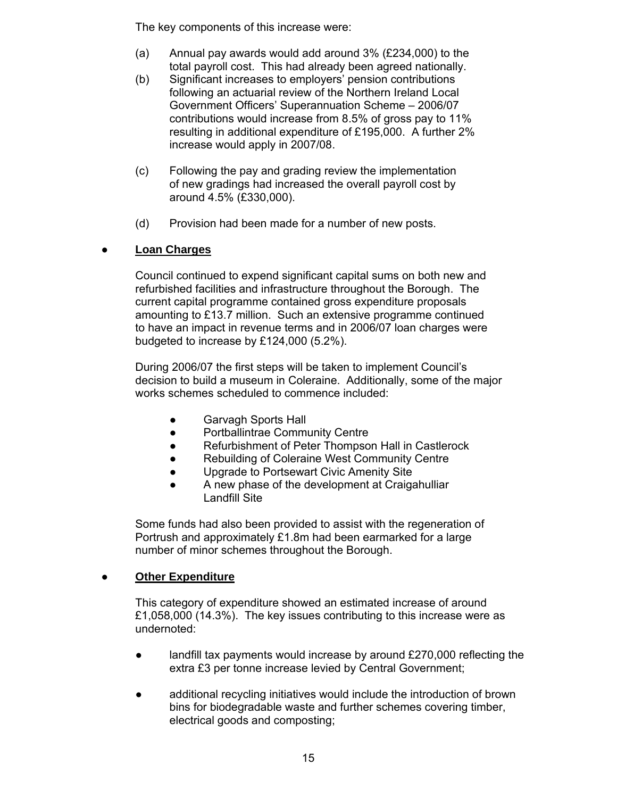The key components of this increase were:

- (a) Annual pay awards would add around 3% (£234,000) to the total payroll cost. This had already been agreed nationally.
- (b) Significant increases to employers' pension contributions following an actuarial review of the Northern Ireland Local Government Officers' Superannuation Scheme – 2006/07 contributions would increase from 8.5% of gross pay to 11% resulting in additional expenditure of £195,000. A further 2% increase would apply in 2007/08.
- (c) Following the pay and grading review the implementation of new gradings had increased the overall payroll cost by around 4.5% (£330,000).
- (d) Provision had been made for a number of new posts.

## ● **Loan Charges**

 Council continued to expend significant capital sums on both new and refurbished facilities and infrastructure throughout the Borough. The current capital programme contained gross expenditure proposals amounting to £13.7 million. Such an extensive programme continued to have an impact in revenue terms and in 2006/07 loan charges were budgeted to increase by £124,000 (5.2%).

 During 2006/07 the first steps will be taken to implement Council's decision to build a museum in Coleraine. Additionally, some of the major works schemes scheduled to commence included:

- Garvagh Sports Hall
- Portballintrae Community Centre
- Refurbishment of Peter Thompson Hall in Castlerock
- Rebuilding of Coleraine West Community Centre
- Upgrade to Portsewart Civic Amenity Site
- A new phase of the development at Craigahulliar Landfill Site

 Some funds had also been provided to assist with the regeneration of Portrush and approximately £1.8m had been earmarked for a large number of minor schemes throughout the Borough.

## **Other Expenditure**

 This category of expenditure showed an estimated increase of around £1,058,000 (14.3%). The key issues contributing to this increase were as undernoted:

- landfill tax payments would increase by around  $£270,000$  reflecting the extra £3 per tonne increase levied by Central Government;
- additional recycling initiatives would include the introduction of brown bins for biodegradable waste and further schemes covering timber, electrical goods and composting;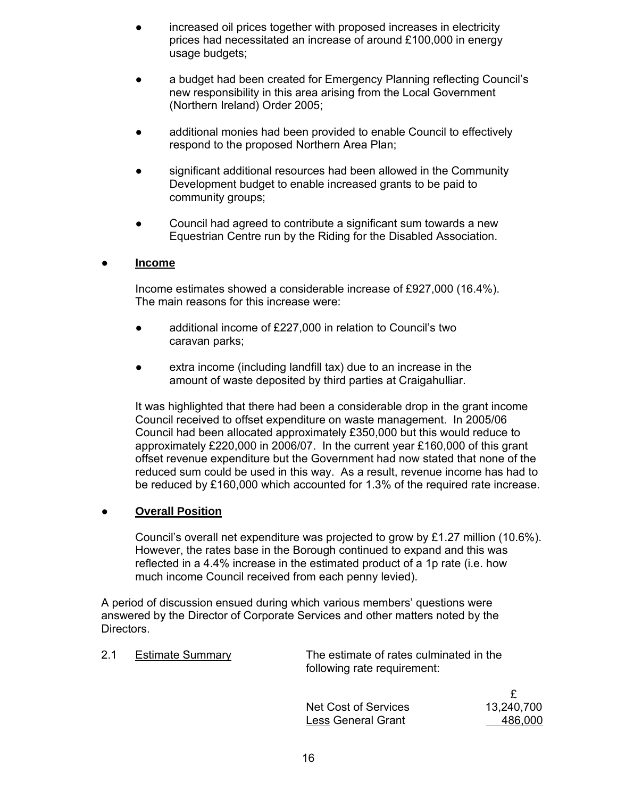- increased oil prices together with proposed increases in electricity prices had necessitated an increase of around £100,000 in energy usage budgets;
- a budget had been created for Emergency Planning reflecting Council's new responsibility in this area arising from the Local Government (Northern Ireland) Order 2005;
- additional monies had been provided to enable Council to effectively respond to the proposed Northern Area Plan;
- significant additional resources had been allowed in the Community Development budget to enable increased grants to be paid to community groups;
- Council had agreed to contribute a significant sum towards a new Equestrian Centre run by the Riding for the Disabled Association.

## ● **Income**

 Income estimates showed a considerable increase of £927,000 (16.4%). The main reasons for this increase were:

- additional income of £227,000 in relation to Council's two caravan parks;
- extra income (including landfill tax) due to an increase in the amount of waste deposited by third parties at Craigahulliar.

 It was highlighted that there had been a considerable drop in the grant income Council received to offset expenditure on waste management. In 2005/06 Council had been allocated approximately £350,000 but this would reduce to approximately £220,000 in 2006/07. In the current year £160,000 of this grant offset revenue expenditure but the Government had now stated that none of the reduced sum could be used in this way. As a result, revenue income has had to be reduced by £160,000 which accounted for 1.3% of the required rate increase.

## **Overall Position**

Council's overall net expenditure was projected to grow by £1.27 million (10.6%). However, the rates base in the Borough continued to expand and this was reflected in a 4.4% increase in the estimated product of a 1p rate (i.e. how much income Council received from each penny levied).

 A period of discussion ensued during which various members' questions were answered by the Director of Corporate Services and other matters noted by the Directors.

 2.1 Estimate Summary The estimate of rates culminated in the following rate requirement:

| Net Cost of Services | 13,240,700 |
|----------------------|------------|
| Less General Grant   | 486,000    |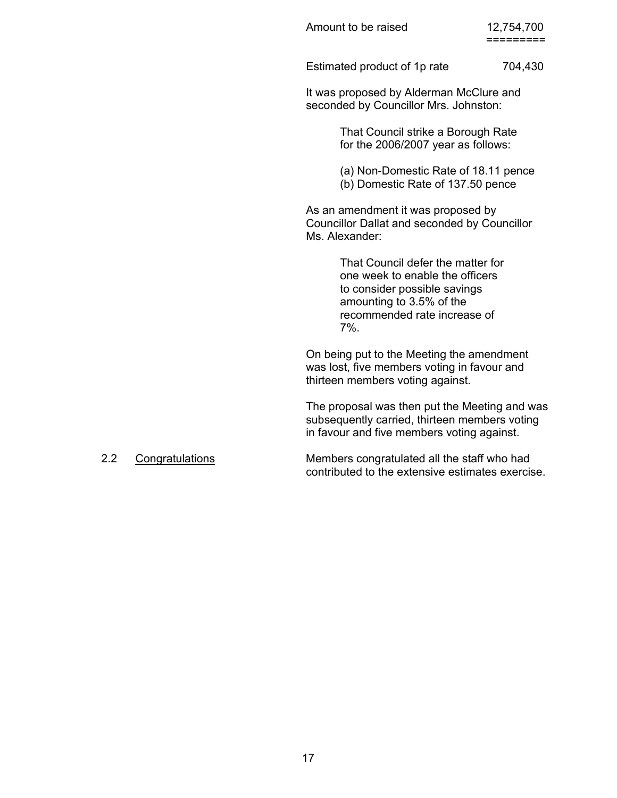Estimated product of 1p rate 704,430

 It was proposed by Alderman McClure and seconded by Councillor Mrs. Johnston:

> That Council strike a Borough Rate for the 2006/2007 year as follows:

 (a) Non-Domestic Rate of 18.11 pence (b) Domestic Rate of 137.50 pence

 As an amendment it was proposed by Councillor Dallat and seconded by Councillor Ms. Alexander:

 That Council defer the matter for one week to enable the officers to consider possible savings amounting to 3.5% of the recommended rate increase of  $7\%$ .

> On being put to the Meeting the amendment was lost, five members voting in favour and thirteen members voting against.

 The proposal was then put the Meeting and was subsequently carried, thirteen members voting in favour and five members voting against.

 2.2 Congratulations Members congratulated all the staff who had contributed to the extensive estimates exercise.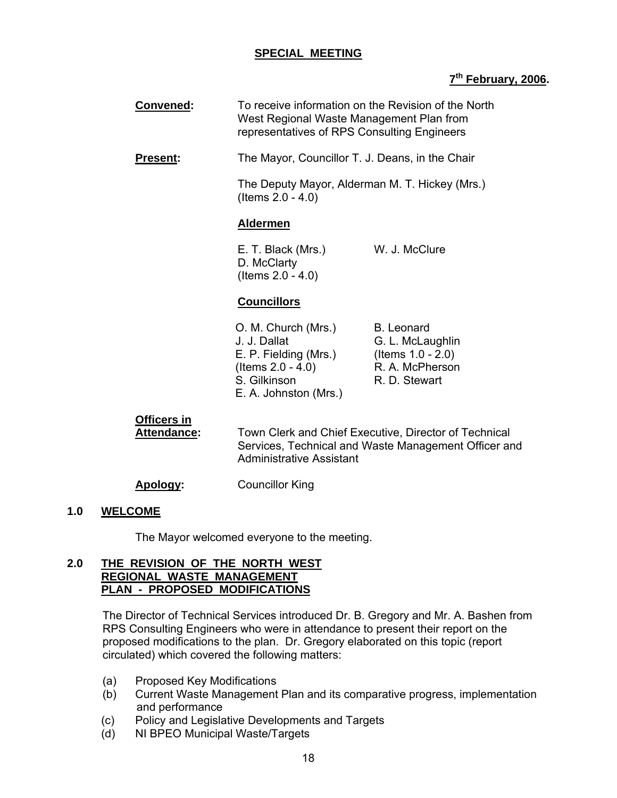## **SPECIAL MEETING**

## **7th February, 2006.**

| <b>Convened:</b>                         | To receive information on the Revision of the North<br>West Regional Waste Management Plan from<br>representatives of RPS Consulting Engineers   |                                                                                                   |
|------------------------------------------|--------------------------------------------------------------------------------------------------------------------------------------------------|---------------------------------------------------------------------------------------------------|
| <b>Present:</b>                          | The Mayor, Councillor T. J. Deans, in the Chair<br>The Deputy Mayor, Alderman M. T. Hickey (Mrs.)<br>(Items $2.0 - 4.0$ )                        |                                                                                                   |
|                                          |                                                                                                                                                  |                                                                                                   |
|                                          | <b>Aldermen</b>                                                                                                                                  |                                                                                                   |
|                                          | E. T. Black (Mrs.)<br>D. McClarty<br>(Items $2.0 - 4.0$ )                                                                                        | W. J. McClure                                                                                     |
|                                          | <b>Councillors</b>                                                                                                                               |                                                                                                   |
|                                          | O. M. Church (Mrs.)<br>J. J. Dallat<br>E. P. Fielding (Mrs.)<br>(Items $2.0 - 4.0$ )<br>S. Gilkinson<br>E. A. Johnston (Mrs.)                    | <b>B.</b> Leonard<br>G. L. McLaughlin<br>(Items $1.0 - 2.0$ )<br>R. A. McPherson<br>R. D. Stewart |
| <b>Officers in</b><br><b>Attendance:</b> | Town Clerk and Chief Executive, Director of Technical<br>Services, Technical and Waste Management Officer and<br><b>Administrative Assistant</b> |                                                                                                   |

# **Apology:** Councillor King

#### **1.0 WELCOME**

The Mayor welcomed everyone to the meeting.

## **2.0 THE REVISION OF THE NORTH WEST REGIONAL WASTE MANAGEMENT PLAN - PROPOSED MODIFICATIONS**

The Director of Technical Services introduced Dr. B. Gregory and Mr. A. Bashen from RPS Consulting Engineers who were in attendance to present their report on the proposed modifications to the plan. Dr. Gregory elaborated on this topic (report circulated) which covered the following matters:

- (a) Proposed Key Modifications
- (b) Current Waste Management Plan and its comparative progress, implementation and performance
- (c) Policy and Legislative Developments and Targets
- (d) NI BPEO Municipal Waste/Targets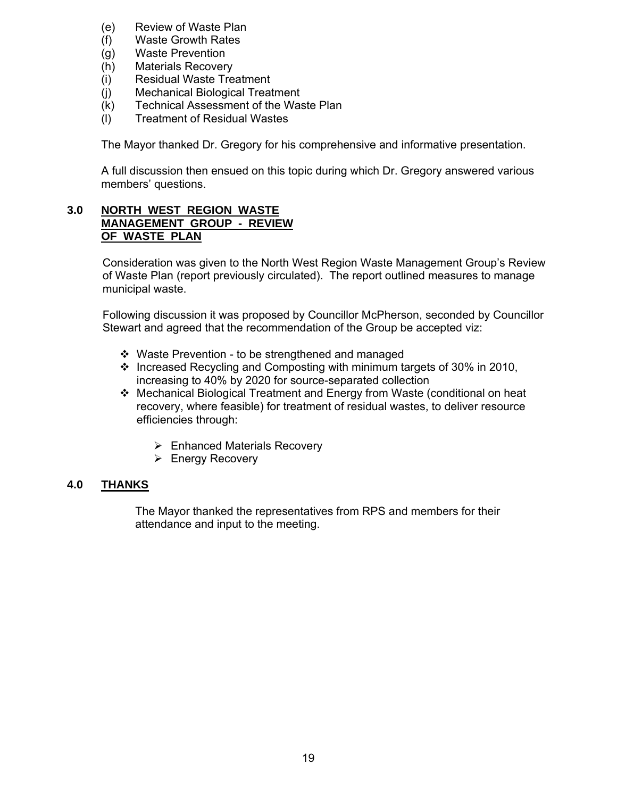- (e) Review of Waste Plan
- (f) Waste Growth Rates
- (g) Waste Prevention
- (h) Materials Recovery
- (i) Residual Waste Treatment
- (j) Mechanical Biological Treatment
- (k) Technical Assessment of the Waste Plan
- (l) Treatment of Residual Wastes

The Mayor thanked Dr. Gregory for his comprehensive and informative presentation.

 A full discussion then ensued on this topic during which Dr. Gregory answered various members' questions.

## **3.0 NORTH WEST REGION WASTE MANAGEMENT GROUP - REVIEW OF WASTE PLAN**

Consideration was given to the North West Region Waste Management Group's Review of Waste Plan (report previously circulated). The report outlined measures to manage municipal waste.

Following discussion it was proposed by Councillor McPherson, seconded by Councillor Stewart and agreed that the recommendation of the Group be accepted viz:

- Waste Prevention to be strengthened and managed
- $\cdot \cdot$  Increased Recycling and Composting with minimum targets of 30% in 2010, increasing to 40% by 2020 for source-separated collection
- Mechanical Biological Treatment and Energy from Waste (conditional on heat recovery, where feasible) for treatment of residual wastes, to deliver resource efficiencies through:
	- $\triangleright$  Enhanced Materials Recovery
	- $\triangleright$  Energy Recovery

## **4.0 THANKS**

 The Mayor thanked the representatives from RPS and members for their attendance and input to the meeting.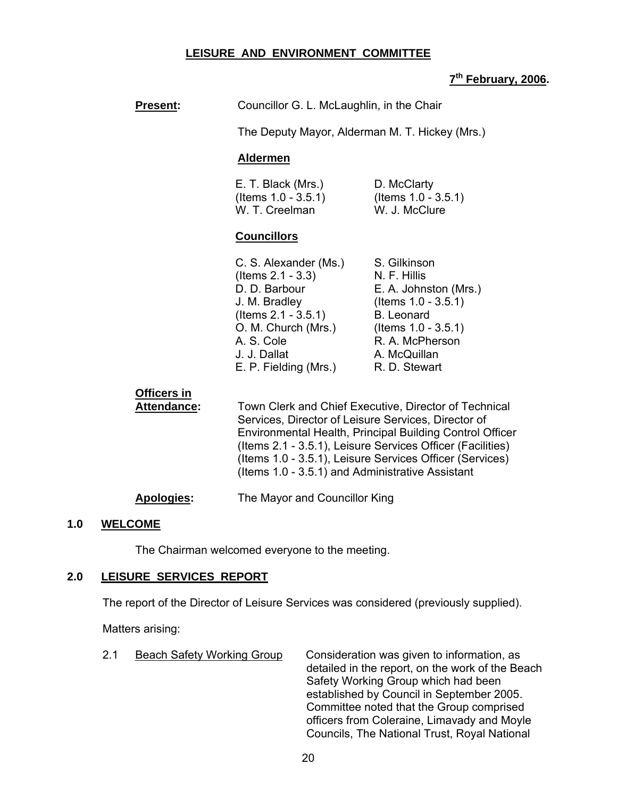## **LEISURE AND ENVIRONMENT COMMITTEE**

## **7th February, 2006.**

| <b>Present:</b>                          | Councillor G. L. McLaughlin, in the Chair<br>The Deputy Mayor, Alderman M. T. Hickey (Mrs.)                                                                                                                                                                                                                                                            |                                                                                                                                                                                    |
|------------------------------------------|--------------------------------------------------------------------------------------------------------------------------------------------------------------------------------------------------------------------------------------------------------------------------------------------------------------------------------------------------------|------------------------------------------------------------------------------------------------------------------------------------------------------------------------------------|
|                                          |                                                                                                                                                                                                                                                                                                                                                        |                                                                                                                                                                                    |
|                                          | <b>Aldermen</b>                                                                                                                                                                                                                                                                                                                                        |                                                                                                                                                                                    |
|                                          | E. T. Black (Mrs.)<br>(Items $1.0 - 3.5.1$ )<br>W. T. Creelman                                                                                                                                                                                                                                                                                         | D. McClarty<br>(Items $1.0 - 3.5.1$ )<br>W. J. McClure                                                                                                                             |
|                                          | <b>Councillors</b>                                                                                                                                                                                                                                                                                                                                     |                                                                                                                                                                                    |
|                                          | C. S. Alexander (Ms.)<br>(Items $2.1 - 3.3$ )<br>D. D. Barbour<br>J. M. Bradley<br>$($ ltems 2.1 - 3.5.1 $)$<br>O. M. Church (Mrs.)<br>A. S. Cole<br>J. J. Dallat<br>E. P. Fielding (Mrs.)                                                                                                                                                             | S. Gilkinson<br>N. F. Hillis<br>E. A. Johnston (Mrs.)<br>(Items $1.0 - 3.5.1$ )<br><b>B.</b> Leonard<br>(Items $1.0 - 3.5.1$ )<br>R. A. McPherson<br>A. McQuillan<br>R. D. Stewart |
| <b>Officers in</b><br><b>Attendance:</b> | Town Clerk and Chief Executive, Director of Technical<br>Services, Director of Leisure Services, Director of<br>Environmental Health, Principal Building Control Officer<br>(Items 2.1 - 3.5.1), Leisure Services Officer (Facilities)<br>(Items 1.0 - 3.5.1), Leisure Services Officer (Services)<br>(Items 1.0 - 3.5.1) and Administrative Assistant |                                                                                                                                                                                    |
| <b>Apologies:</b>                        | The Mayor and Councillor King                                                                                                                                                                                                                                                                                                                          |                                                                                                                                                                                    |

#### **1.0 WELCOME**

The Chairman welcomed everyone to the meeting.

## **2.0 LEISURE SERVICES REPORT**

The report of the Director of Leisure Services was considered (previously supplied).

Matters arising:

2.1 Beach Safety Working Group Consideration was given to information, as detailed in the report, on the work of the Beach Safety Working Group which had been established by Council in September 2005. Committee noted that the Group comprised officers from Coleraine, Limavady and Moyle Councils, The National Trust, Royal National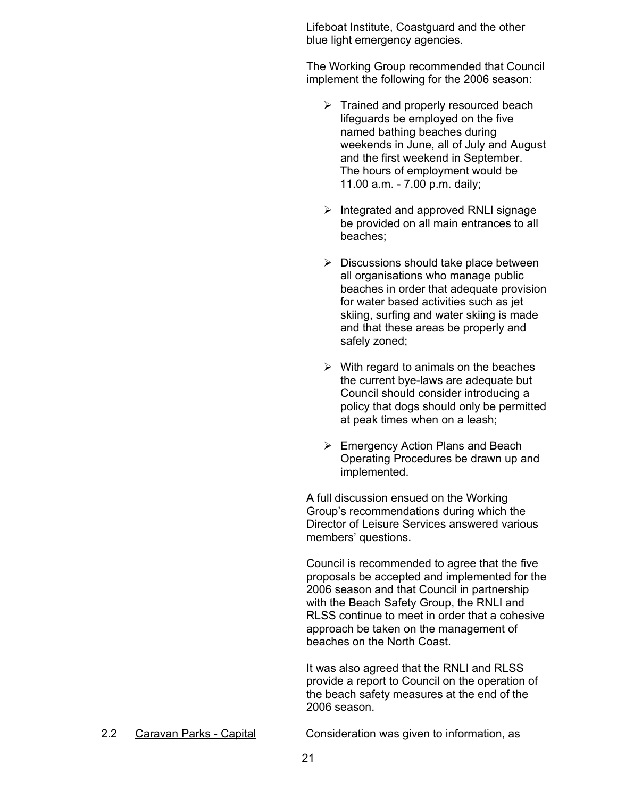Lifeboat Institute, Coastguard and the other blue light emergency agencies.

The Working Group recommended that Council implement the following for the 2006 season:

- $\triangleright$  Trained and properly resourced beach lifeguards be employed on the five named bathing beaches during weekends in June, all of July and August and the first weekend in September. The hours of employment would be 11.00 a.m. - 7.00 p.m. daily;
- $\triangleright$  Integrated and approved RNLI signage be provided on all main entrances to all beaches;
- $\triangleright$  Discussions should take place between all organisations who manage public beaches in order that adequate provision for water based activities such as jet skiing, surfing and water skiing is made and that these areas be properly and safely zoned;
- $\triangleright$  With regard to animals on the beaches the current bye-laws are adequate but Council should consider introducing a policy that dogs should only be permitted at peak times when on a leash;
- $\triangleright$  Emergency Action Plans and Beach Operating Procedures be drawn up and implemented.

A full discussion ensued on the Working Group's recommendations during which the Director of Leisure Services answered various members' questions.

Council is recommended to agree that the five proposals be accepted and implemented for the 2006 season and that Council in partnership with the Beach Safety Group, the RNLI and RLSS continue to meet in order that a cohesive approach be taken on the management of beaches on the North Coast.

It was also agreed that the RNLI and RLSS provide a report to Council on the operation of the beach safety measures at the end of the 2006 season.

2.2 Caravan Parks - Capital Consideration was given to information, as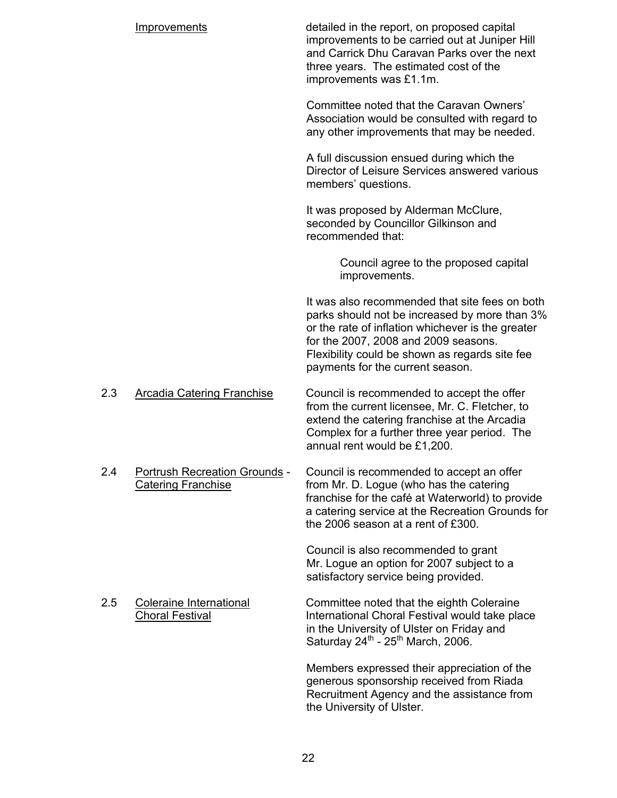|     | Improvements                                                      | detailed in the report, on proposed capital<br>improvements to be carried out at Juniper Hill<br>and Carrick Dhu Caravan Parks over the next<br>three years. The estimated cost of the<br>improvements was £1.1m.                                                                  |
|-----|-------------------------------------------------------------------|------------------------------------------------------------------------------------------------------------------------------------------------------------------------------------------------------------------------------------------------------------------------------------|
|     |                                                                   | Committee noted that the Caravan Owners'<br>Association would be consulted with regard to<br>any other improvements that may be needed.                                                                                                                                            |
|     |                                                                   | A full discussion ensued during which the<br>Director of Leisure Services answered various<br>members' questions.                                                                                                                                                                  |
|     |                                                                   | It was proposed by Alderman McClure,<br>seconded by Councillor Gilkinson and<br>recommended that:                                                                                                                                                                                  |
|     |                                                                   | Council agree to the proposed capital<br>improvements.                                                                                                                                                                                                                             |
|     |                                                                   | It was also recommended that site fees on both<br>parks should not be increased by more than 3%<br>or the rate of inflation whichever is the greater<br>for the 2007, 2008 and 2009 seasons.<br>Flexibility could be shown as regards site fee<br>payments for the current season. |
| 2.3 | <b>Arcadia Catering Franchise</b>                                 | Council is recommended to accept the offer<br>from the current licensee, Mr. C. Fletcher, to<br>extend the catering franchise at the Arcadia<br>Complex for a further three year period. The<br>annual rent would be £1,200.                                                       |
| 2.4 | <b>Portrush Recreation Grounds -</b><br><b>Catering Franchise</b> | Council is recommended to accept an offer<br>from Mr. D. Logue (who has the catering<br>franchise for the café at Waterworld) to provide<br>a catering service at the Recreation Grounds for<br>the 2006 season at a rent of £300.                                                 |
|     |                                                                   | Council is also recommended to grant<br>Mr. Logue an option for 2007 subject to a<br>satisfactory service being provided.                                                                                                                                                          |
| 2.5 | <b>Coleraine International</b><br><b>Choral Festival</b>          | Committee noted that the eighth Coleraine<br>International Choral Festival would take place<br>in the University of Ulster on Friday and<br>Saturday $24^{th}$ - $25^{th}$ March, 2006.                                                                                            |
|     |                                                                   | Members expressed their appreciation of the<br>generous sponsorship received from Riada<br>Recruitment Agency and the assistance from<br>the University of Ulster.                                                                                                                 |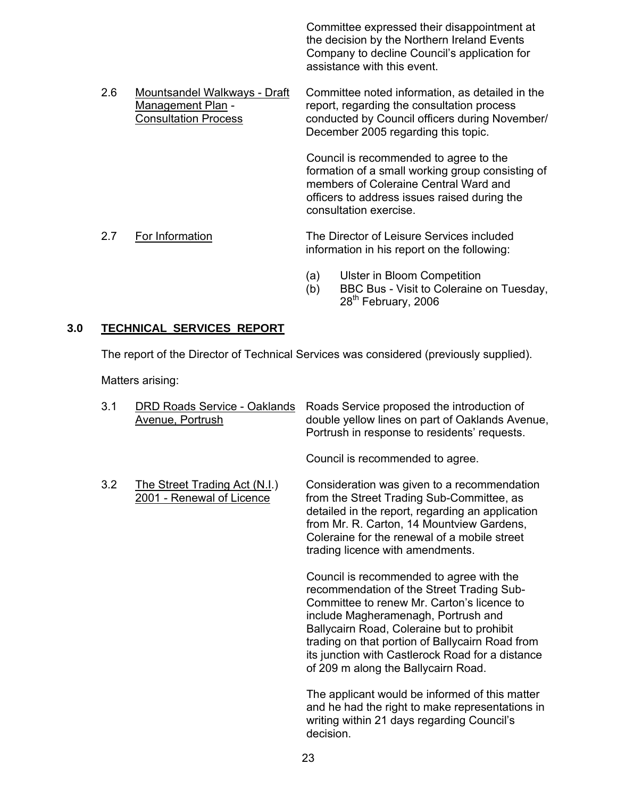Committee expressed their disappointment at the decision by the Northern Ireland Events Company to decline Council's application for assistance with this event.

2.6 Mountsandel Walkways - Draft Committee noted information, as detailed in the Management Plan - report, regarding the consultation process Consultation Process conducted by Council officers during November/ December 2005 regarding this topic.

> Council is recommended to agree to the formation of a small working group consisting of members of Coleraine Central Ward and officers to address issues raised during the consultation exercise.

- 2.7 For Information The Director of Leisure Services included information in his report on the following:
	- (a) Ulster in Bloom Competition
	- (b) BBC Bus Visit to Coleraine on Tuesday, 28<sup>th</sup> February, 2006

## **3.0 TECHNICAL SERVICES REPORT**

The report of the Director of Technical Services was considered (previously supplied).

Matters arising:

| 3.1 | <b>DRD Roads Service - Oaklands</b><br>Avenue, Portrush    | Roads Service proposed the introduction of<br>double yellow lines on part of Oaklands Avenue,<br>Portrush in response to residents' requests.                                                                                                                                                                                                                          |
|-----|------------------------------------------------------------|------------------------------------------------------------------------------------------------------------------------------------------------------------------------------------------------------------------------------------------------------------------------------------------------------------------------------------------------------------------------|
|     |                                                            | Council is recommended to agree.                                                                                                                                                                                                                                                                                                                                       |
| 3.2 | The Street Trading Act (N.I.)<br>2001 - Renewal of Licence | Consideration was given to a recommendation<br>from the Street Trading Sub-Committee, as<br>detailed in the report, regarding an application<br>from Mr. R. Carton, 14 Mountview Gardens,<br>Coleraine for the renewal of a mobile street<br>trading licence with amendments.                                                                                          |
|     |                                                            | Council is recommended to agree with the<br>recommendation of the Street Trading Sub-<br>Committee to renew Mr. Carton's licence to<br>include Magheramenagh, Portrush and<br>Ballycairn Road, Coleraine but to prohibit<br>trading on that portion of Ballycairn Road from<br>its junction with Castlerock Road for a distance<br>of 209 m along the Ballycairn Road. |
|     |                                                            | The applicant would be informed of this matter<br>and he had the right to make representations in<br>writing within 21 days regarding Council's<br>decision.                                                                                                                                                                                                           |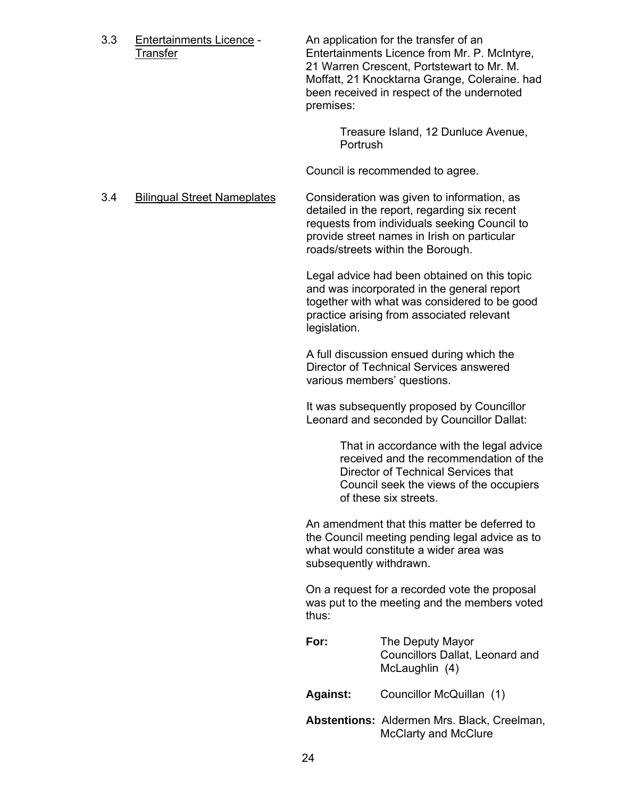3.3 Entertainments Licence - An application for the transfer of an Transfer Entertainments Licence from Mr. P. McIntyre, 21 Warren Crescent, Portstewart to Mr. M. Moffatt, 21 Knocktarna Grange, Coleraine. had been received in respect of the undernoted premises:

> Treasure Island, 12 Dunluce Avenue, Portrush

Council is recommended to agree.

 3.4 Bilingual Street Nameplates Consideration was given to information, as detailed in the report, regarding six recent requests from individuals seeking Council to provide street names in Irish on particular roads/streets within the Borough.

> Legal advice had been obtained on this topic and was incorporated in the general report together with what was considered to be good practice arising from associated relevant legislation.

A full discussion ensued during which the Director of Technical Services answered various members' questions.

It was subsequently proposed by Councillor Leonard and seconded by Councillor Dallat:

> That in accordance with the legal advice received and the recommendation of the Director of Technical Services that Council seek the views of the occupiers of these six streets.

 An amendment that this matter be deferred to the Council meeting pending legal advice as to what would constitute a wider area was subsequently withdrawn.

On a request for a recorded vote the proposal was put to the meeting and the members voted thus:

**For:** The Deputy Mayor Councillors Dallat, Leonard and McLaughlin (4)

**Against:** Councillor McQuillan (1)

**Abstentions:** Aldermen Mrs. Black, Creelman, McClarty and McClure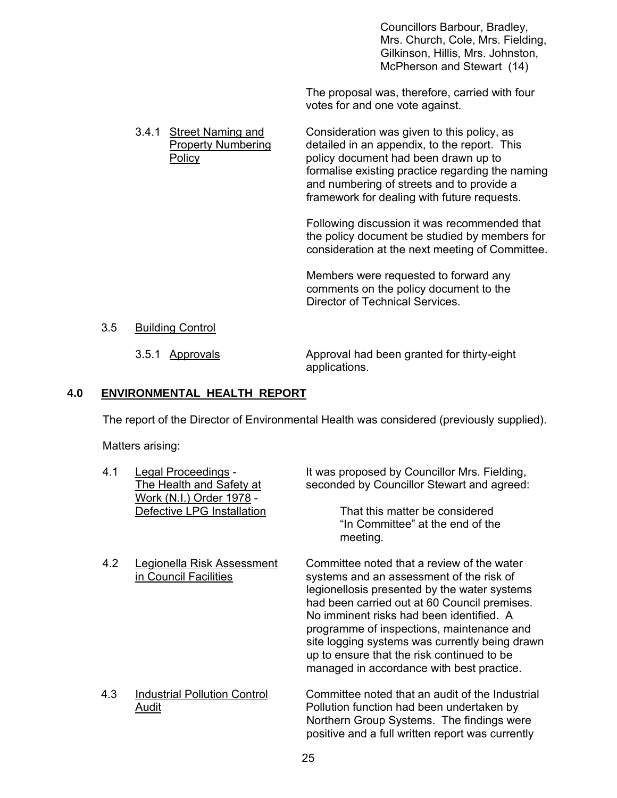Councillors Barbour, Bradley, Mrs. Church, Cole, Mrs. Fielding, Gilkinson, Hillis, Mrs. Johnston, McPherson and Stewart (14)

The proposal was, therefore, carried with four votes for and one vote against.

3.4.1 Street Naming and Consideration was given to this policy, as Property Numbering detailed in an appendix, to the report. This Policy policy document had been drawn up to formalise existing practice regarding the naming and numbering of streets and to provide a framework for dealing with future requests.

> Following discussion it was recommended that the policy document be studied by members for consideration at the next meeting of Committee.

Members were requested to forward any comments on the policy document to the Director of Technical Services.

#### 3.5 Building Control

3.5.1 Approvals Approval had been granted for thirty-eight applications.

## **4.0 ENVIRONMENTAL HEALTH REPORT**

The report of the Director of Environmental Health was considered (previously supplied).

Matters arising:

| 4.1 | Legal Proceedings -<br>The Health and Safety at<br>Work (N.I.) Order 1978 - | It was proposed by Councillor Mrs. Fielding,<br>seconded by Councillor Stewart and agreed:                                                                                                                                                                                                                                                                                                                                   |
|-----|-----------------------------------------------------------------------------|------------------------------------------------------------------------------------------------------------------------------------------------------------------------------------------------------------------------------------------------------------------------------------------------------------------------------------------------------------------------------------------------------------------------------|
|     | Defective LPG Installation                                                  | That this matter be considered<br>"In Committee" at the end of the<br>meeting.                                                                                                                                                                                                                                                                                                                                               |
| 4.2 | Legionella Risk Assessment<br>in Council Facilities                         | Committee noted that a review of the water<br>systems and an assessment of the risk of<br>legionellosis presented by the water systems<br>had been carried out at 60 Council premises.<br>No imminent risks had been identified. A<br>programme of inspections, maintenance and<br>site logging systems was currently being drawn<br>up to ensure that the risk continued to be<br>managed in accordance with best practice. |
| 4.3 | <b>Industrial Pollution Control</b><br>Audit                                | Committee noted that an audit of the Industrial<br>Pollution function had been undertaken by<br>Northern Group Systems. The findings were<br>positive and a full written report was currently                                                                                                                                                                                                                                |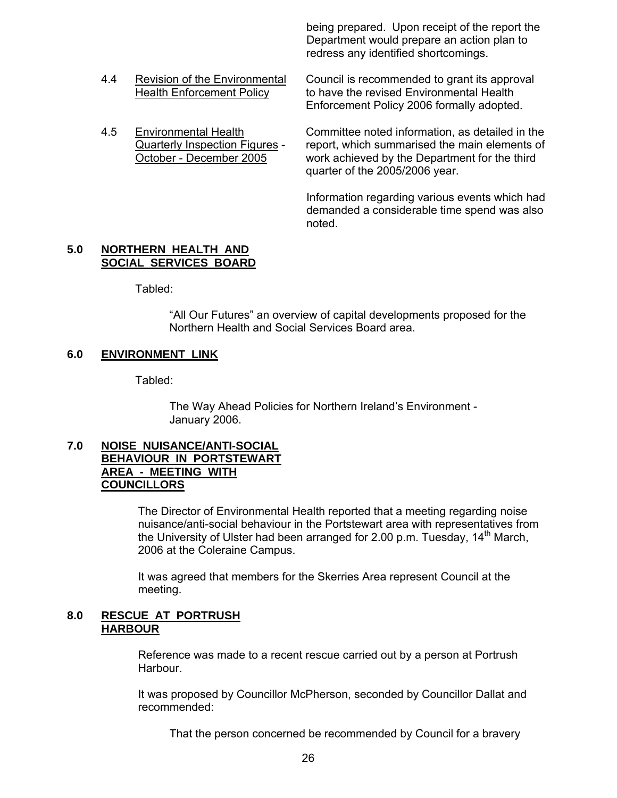being prepared. Upon receipt of the report the Department would prepare an action plan to redress any identified shortcomings.

4.4 Revision of the Environmental Council is recommended to grant its approval

 Health Enforcement Policy to have the revised Environmental Health Enforcement Policy 2006 formally adopted.

 4.5 Environmental Health Committee noted information, as detailed in the Quarterly Inspection Figures - report, which summarised the main elements of October - December 2005 work achieved by the Department for the third quarter of the 2005/2006 year.

> Information regarding various events which had demanded a considerable time spend was also noted.

#### **5.0 NORTHERN HEALTH AND SOCIAL SERVICES BOARD**

Tabled:

 "All Our Futures" an overview of capital developments proposed for the Northern Health and Social Services Board area.

## **6.0 ENVIRONMENT LINK**

Tabled:

 The Way Ahead Policies for Northern Ireland's Environment - January 2006.

#### **7.0 NOISE NUISANCE/ANTI-SOCIAL BEHAVIOUR IN PORTSTEWART AREA - MEETING WITH COUNCILLORS**

The Director of Environmental Health reported that a meeting regarding noise nuisance/anti-social behaviour in the Portstewart area with representatives from the University of Ulster had been arranged for 2.00 p.m. Tuesday,  $14<sup>th</sup>$  March, 2006 at the Coleraine Campus.

It was agreed that members for the Skerries Area represent Council at the meeting.

## **8.0 RESCUE AT PORTRUSH HARBOUR**

Reference was made to a recent rescue carried out by a person at Portrush Harbour.

It was proposed by Councillor McPherson, seconded by Councillor Dallat and recommended:

That the person concerned be recommended by Council for a bravery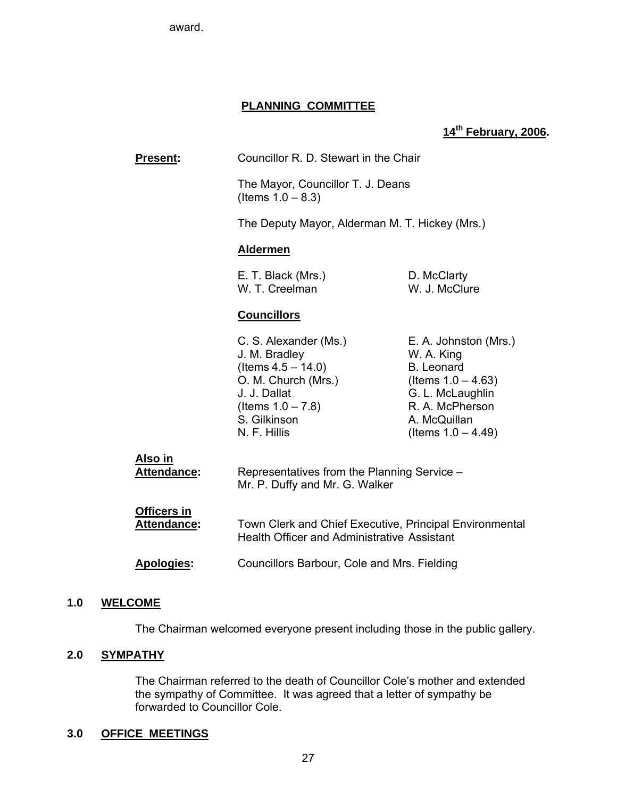award.

## **PLANNING COMMITTEE**

## **14th February, 2006.**

| <b>Present:</b>                   | Councillor R. D. Stewart in the Chair                                                                                                                          |                                                                                                                                                                   |
|-----------------------------------|----------------------------------------------------------------------------------------------------------------------------------------------------------------|-------------------------------------------------------------------------------------------------------------------------------------------------------------------|
|                                   | The Mayor, Councillor T. J. Deans<br>(Items $1.0 - 8.3$ )                                                                                                      |                                                                                                                                                                   |
|                                   | The Deputy Mayor, Alderman M. T. Hickey (Mrs.)                                                                                                                 |                                                                                                                                                                   |
|                                   | <b>Aldermen</b>                                                                                                                                                |                                                                                                                                                                   |
|                                   | E. T. Black (Mrs.)<br>W. T. Creelman                                                                                                                           | D. McClarty<br>W. J. McClure                                                                                                                                      |
|                                   | <b>Councillors</b>                                                                                                                                             |                                                                                                                                                                   |
|                                   | C. S. Alexander (Ms.)<br>J. M. Bradley<br>(Items $4.5 - 14.0$ )<br>O. M. Church (Mrs.)<br>J. J. Dallat<br>(Items $1.0 - 7.8$ )<br>S. Gilkinson<br>N. F. Hillis | E. A. Johnston (Mrs.)<br>W. A. King<br><b>B.</b> Leonard<br>(Items $1.0 - 4.63$ )<br>G. L. McLaughlin<br>R. A. McPherson<br>A. McQuillan<br>(Items $1.0 - 4.49$ ) |
| <u>Also in</u><br>Attendance:     | Representatives from the Planning Service -<br>Mr. P. Duffy and Mr. G. Walker                                                                                  |                                                                                                                                                                   |
| <b>Officers in</b><br>Attendance: | Town Clerk and Chief Executive, Principal Environmental<br><b>Health Officer and Administrative Assistant</b>                                                  |                                                                                                                                                                   |
| <b>Apologies:</b>                 | Councillors Barbour, Cole and Mrs. Fielding                                                                                                                    |                                                                                                                                                                   |

#### **1.0 WELCOME**

The Chairman welcomed everyone present including those in the public gallery.

## **2.0 SYMPATHY**

The Chairman referred to the death of Councillor Cole's mother and extended the sympathy of Committee. It was agreed that a letter of sympathy be forwarded to Councillor Cole.

## **3.0 OFFICE MEETINGS**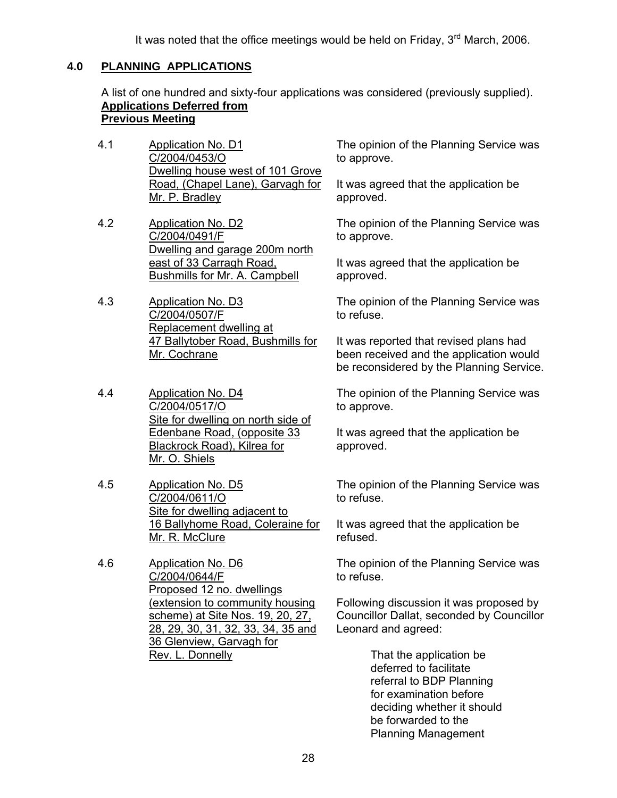It was noted that the office meetings would be held on Friday,  $3<sup>rd</sup>$  March, 2006.

## **4.0 PLANNING APPLICATIONS**

A list of one hundred and sixty-four applications was considered (previously supplied). **Applications Deferred from**

## **Previous Meeting**

- 4.1 Application No. D1 C/2004/0453/O Dwelling house west of 101 Grove Road, (Chapel Lane), Garvagh for Mr. P. Bradley
- 4.2 Application No. D2 C/2004/0491/F Dwelling and garage 200m north east of 33 Carragh Road, Bushmills for Mr. A. Campbell
- 4.3 Application No. D3 C/2004/0507/F Replacement dwelling at 47 Ballytober Road, Bushmills for Mr. Cochrane
- 4.4 Application No. D4 C/2004/0517/O Site for dwelling on north side of Edenbane Road, (opposite 33 Blackrock Road), Kilrea for Mr. O. Shiels
- 4.5 Application No. D5 C/2004/0611/O Site for dwelling adjacent to 16 Ballyhome Road, Coleraine for Mr. R. McClure
- 4.6 Application No. D6 C/2004/0644/F Proposed 12 no. dwellings (extension to community housing scheme) at Site Nos. 19, 20, 27, 28, 29, 30, 31, 32, 33, 34, 35 and 36 Glenview, Garvagh for Rev. L. Donnelly

The opinion of the Planning Service was to approve.

It was agreed that the application be approved.

The opinion of the Planning Service was to approve.

It was agreed that the application be approved.

The opinion of the Planning Service was to refuse.

It was reported that revised plans had been received and the application would be reconsidered by the Planning Service.

The opinion of the Planning Service was to approve.

It was agreed that the application be approved.

The opinion of the Planning Service was to refuse.

It was agreed that the application be refused.

The opinion of the Planning Service was to refuse.

Following discussion it was proposed by Councillor Dallat, seconded by Councillor Leonard and agreed:

> That the application be deferred to facilitate referral to BDP Planning for examination before deciding whether it should be forwarded to the Planning Management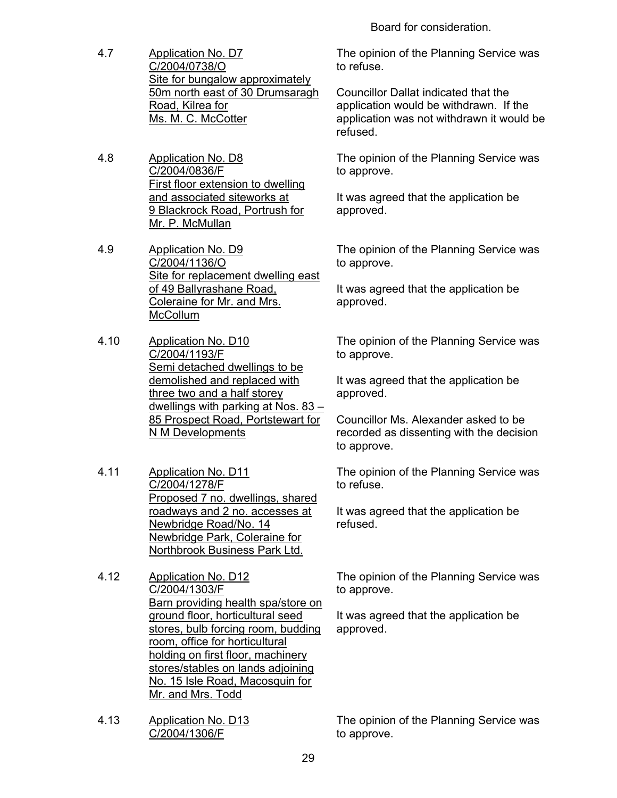Board for consideration.

- 4.7 Application No. D7 C/2004/0738/O Site for bungalow approximately 50m north east of 30 Drumsaragh Road, Kilrea for Ms. M. C. McCotter
- 4.8 Application No. D8 C/2004/0836/F First floor extension to dwelling and associated siteworks at 9 Blackrock Road, Portrush for Mr. P. McMullan
- 4.9 Application No. D9 C/2004/1136/O Site for replacement dwelling east of 49 Ballyrashane Road, Coleraine for Mr. and Mrs. **McCollum**
- 4.10 Application No. D10 C/2004/1193/F Semi detached dwellings to be demolished and replaced with three two and a half storey dwellings with parking at Nos. 83 – 85 Prospect Road, Portstewart for N M Developments
- 4.11 Application No. D11 C/2004/1278/F Proposed 7 no. dwellings, shared roadways and 2 no. accesses at Newbridge Road/No. 14 Newbridge Park, Coleraine for Northbrook Business Park Ltd.
- 4.12 Application No. D12 C/2004/1303/F Barn providing health spa/store on ground floor, horticultural seed stores, bulb forcing room, budding room, office for horticultural holding on first floor, machinery stores/stables on lands adjoining No. 15 Isle Road, Macosquin for Mr. and Mrs. Todd
- 4.13 Application No. D13 C/2004/1306/F

The opinion of the Planning Service was to refuse.

Councillor Dallat indicated that the application would be withdrawn. If the application was not withdrawn it would be refused.

The opinion of the Planning Service was to approve.

It was agreed that the application be approved.

The opinion of the Planning Service was to approve.

It was agreed that the application be approved.

The opinion of the Planning Service was to approve.

It was agreed that the application be approved.

Councillor Ms. Alexander asked to be recorded as dissenting with the decision to approve.

The opinion of the Planning Service was to refuse.

It was agreed that the application be refused.

The opinion of the Planning Service was to approve.

It was agreed that the application be approved.

The opinion of the Planning Service was to approve.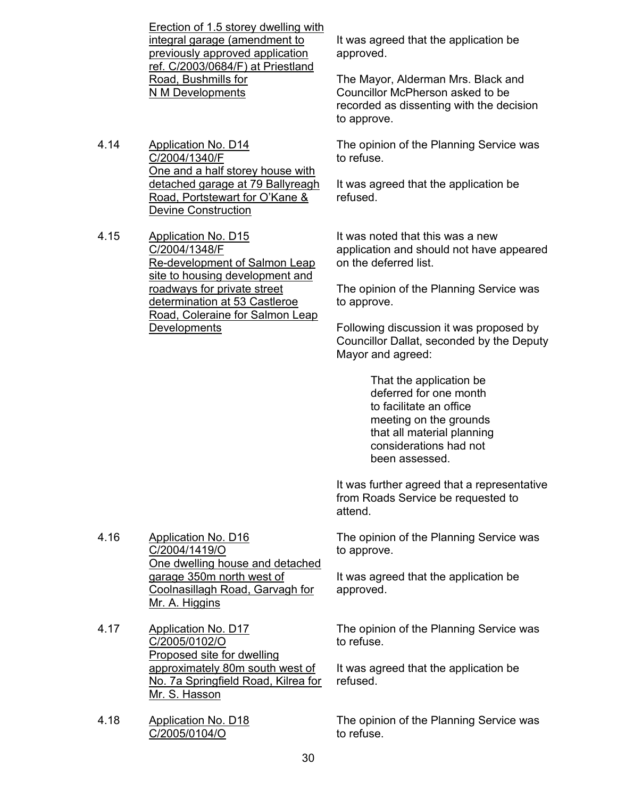Erection of 1.5 storey dwelling with integral garage (amendment to previously approved application ref. C/2003/0684/F) at Priestland Road, Bushmills for N M Developments

4.14 Application No. D14 C/2004/1340/F One and a half storey house with detached garage at 79 Ballyreagh Road, Portstewart for O'Kane & Devine Construction

4.15 Application No. D15 C/2004/1348/F Re-development of Salmon Leap site to housing development and roadways for private street determination at 53 Castleroe Road, Coleraine for Salmon Leap **Developments** 

It was agreed that the application be approved.

The Mayor, Alderman Mrs. Black and Councillor McPherson asked to be recorded as dissenting with the decision to approve.

The opinion of the Planning Service was to refuse.

It was agreed that the application be refused.

It was noted that this was a new application and should not have appeared on the deferred list.

The opinion of the Planning Service was to approve.

Following discussion it was proposed by Councillor Dallat, seconded by the Deputy Mayor and agreed:

> That the application be deferred for one month to facilitate an office meeting on the grounds that all material planning considerations had not been assessed.

It was further agreed that a representative from Roads Service be requested to attend.

The opinion of the Planning Service was to approve.

It was agreed that the application be approved.

The opinion of the Planning Service was to refuse.

It was agreed that the application be refused.

The opinion of the Planning Service was to refuse.

4.16 Application No. D16 C/2004/1419/O One dwelling house and detached garage 350m north west of Coolnasillagh Road, Garvagh for Mr. A. Higgins

- 4.17 Application No. D17 C/2005/0102/O Proposed site for dwelling approximately 80m south west of No. 7a Springfield Road, Kilrea for Mr. S. Hasson
- 4.18 Application No. D18 C/2005/0104/O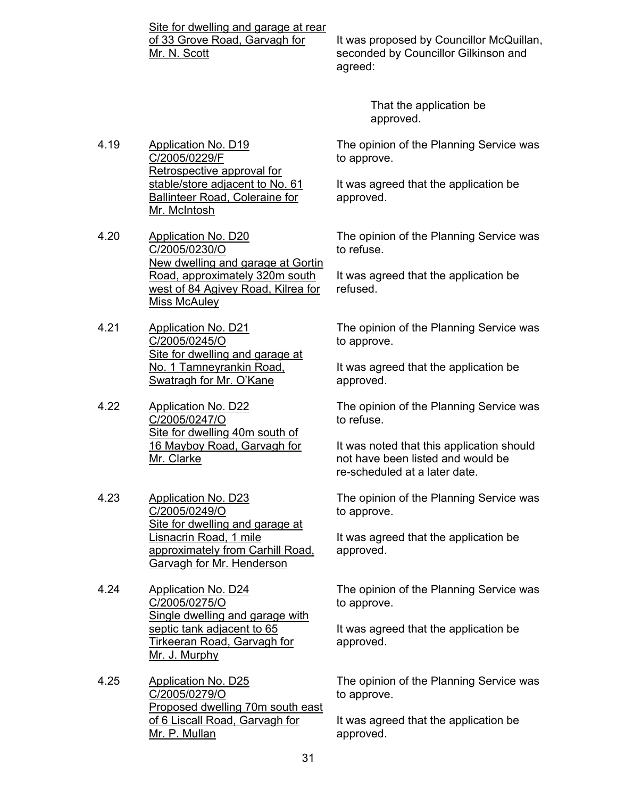Site for dwelling and garage at rear of 33 Grove Road, Garvagh for Mr. N. Scott

It was proposed by Councillor McQuillan, seconded by Councillor Gilkinson and agreed:

> That the application be approved.

The opinion of the Planning Service was to approve.

It was agreed that the application be approved.

The opinion of the Planning Service was to refuse.

It was agreed that the application be refused.

The opinion of the Planning Service was to approve.

It was agreed that the application be approved.

The opinion of the Planning Service was to refuse.

It was noted that this application should not have been listed and would be re-scheduled at a later date.

The opinion of the Planning Service was to approve.

It was agreed that the application be approved.

The opinion of the Planning Service was to approve.

It was agreed that the application be approved.

The opinion of the Planning Service was to approve.

It was agreed that the application be approved.

4.19 Application No. D19 C/2005/0229/F Retrospective approval for stable/store adjacent to No. 61 Ballinteer Road, Coleraine for Mr. McIntosh

4.20 Application No. D20 C/2005/0230/O New dwelling and garage at Gortin Road, approximately 320m south west of 84 Agivey Road, Kilrea for Miss McAuley

4.21 Application No. D21 C/2005/0245/O Site for dwelling and garage at No. 1 Tamneyrankin Road, Swatragh for Mr. O'Kane

4.22 Application No. D22 C/2005/0247/O Site for dwelling 40m south of 16 Mayboy Road, Garvagh for Mr. Clarke

4.23 Application No. D23 C/2005/0249/O Site for dwelling and garage at Lisnacrin Road, 1 mile approximately from Carhill Road, Garvagh for Mr. Henderson

4.24 Application No. D24 C/2005/0275/O Single dwelling and garage with septic tank adjacent to 65 Tirkeeran Road, Garvagh for Mr. J. Murphy

4.25 Application No. D25 C/2005/0279/O Proposed dwelling 70m south east of 6 Liscall Road, Garvagh for Mr. P. Mullan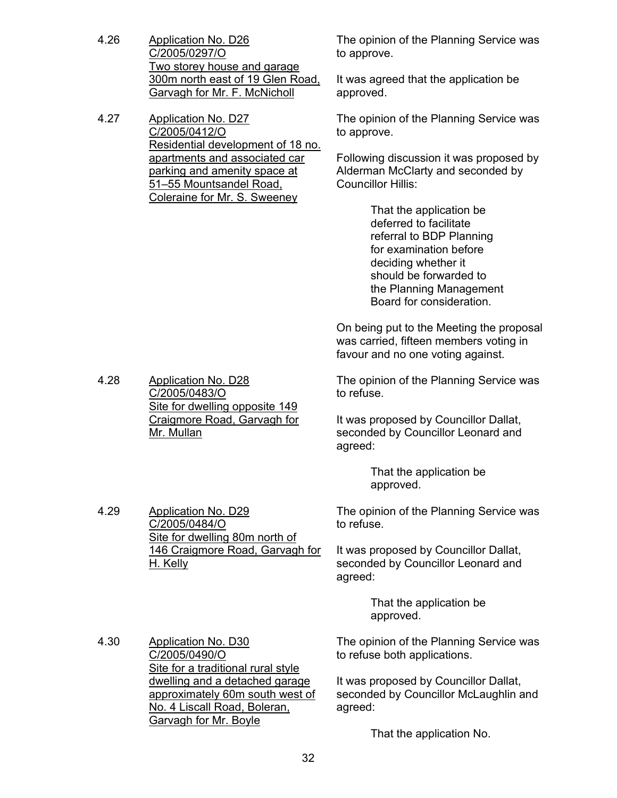- 4.26 Application No. D26 C/2005/0297/O Two storey house and garage 300m north east of 19 Glen Road, Garvagh for Mr. F. McNicholl
- 4.27 Application No. D27 C/2005/0412/O Residential development of 18 no. apartments and associated car parking and amenity space at 51–55 Mountsandel Road, Coleraine for Mr. S. Sweeney

The opinion of the Planning Service was to approve.

It was agreed that the application be approved.

The opinion of the Planning Service was to approve.

Following discussion it was proposed by Alderman McClarty and seconded by Councillor Hillis:

> That the application be deferred to facilitate referral to BDP Planning for examination before deciding whether it should be forwarded to the Planning Management Board for consideration.

On being put to the Meeting the proposal was carried, fifteen members voting in favour and no one voting against.

The opinion of the Planning Service was to refuse.

It was proposed by Councillor Dallat, seconded by Councillor Leonard and agreed:

> That the application be approved.

The opinion of the Planning Service was to refuse.

It was proposed by Councillor Dallat, seconded by Councillor Leonard and agreed:

> That the application be approved.

4.30 Application No. D30 C/2005/0490/O Site for a traditional rural style dwelling and a detached garage approximately 60m south west of No. 4 Liscall Road, Boleran, Garvagh for Mr. Boyle

The opinion of the Planning Service was to refuse both applications.

It was proposed by Councillor Dallat, seconded by Councillor McLaughlin and agreed:

That the application No.

4.29 Application No. D29

C/2005/0484/O Site for dwelling 80m north of 146 Craigmore Road, Garvagh for H. Kelly

Site for dwelling opposite 149 Craigmore Road, Garvagh for

4.28 Application No. D28 C/2005/0483/O

Mr. Mullan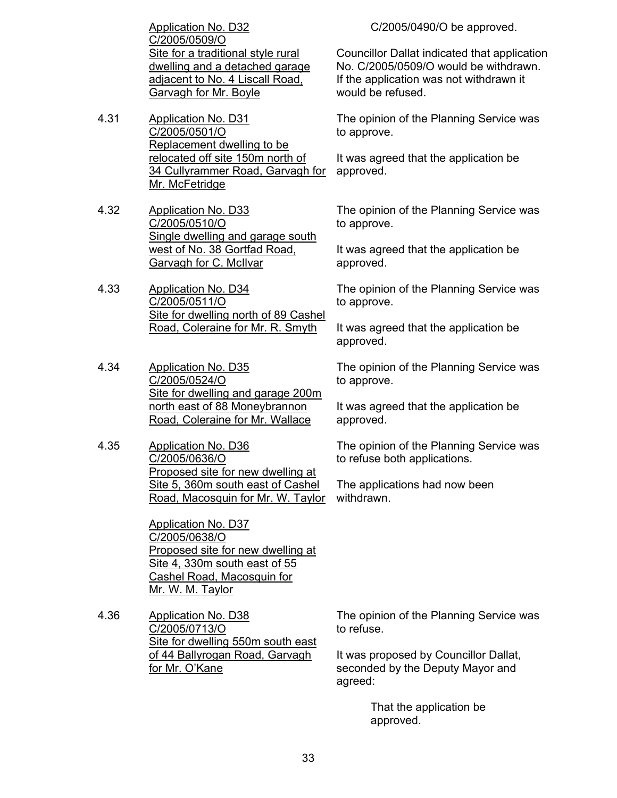Application No. D32 C/2005/0509/O Site for a traditional style rural dwelling and a detached garage adjacent to No. 4 Liscall Road, Garvagh for Mr. Boyle

- 4.31 Application No. D31 C/2005/0501/O Replacement dwelling to be relocated off site 150m north of 34 Cullyrammer Road, Garvagh for Mr. McFetridge
- 4.32 Application No. D33 C/2005/0510/O Single dwelling and garage south west of No. 38 Gortfad Road, Garvagh for C. McIlvar
- 4.33 Application No. D34 C/2005/0511/O Site for dwelling north of 89 Cashel Road, Coleraine for Mr. R. Smyth
- 4.34 Application No. D35 C/2005/0524/O Site for dwelling and garage 200m north east of 88 Moneybrannon Road, Coleraine for Mr. Wallace
- 4.35 Application No. D36 C/2005/0636/O Proposed site for new dwelling at Site 5, 360m south east of Cashel Road, Macosquin for Mr. W. Taylor

Application No. D37 C/2005/0638/O Proposed site for new dwelling at Site 4, 330m south east of 55 Cashel Road, Macosquin for Mr. W. M. Taylor

4.36 Application No. D38 C/2005/0713/O Site for dwelling 550m south east of 44 Ballyrogan Road, Garvagh for Mr. O'Kane

C/2005/0490/O be approved.

Councillor Dallat indicated that application No. C/2005/0509/O would be withdrawn. If the application was not withdrawn it would be refused.

The opinion of the Planning Service was to approve.

It was agreed that the application be approved.

The opinion of the Planning Service was to approve.

It was agreed that the application be approved.

The opinion of the Planning Service was to approve.

It was agreed that the application be approved.

The opinion of the Planning Service was to approve.

It was agreed that the application be approved.

The opinion of the Planning Service was to refuse both applications.

The applications had now been withdrawn.

The opinion of the Planning Service was to refuse.

It was proposed by Councillor Dallat, seconded by the Deputy Mayor and agreed:

> That the application be approved.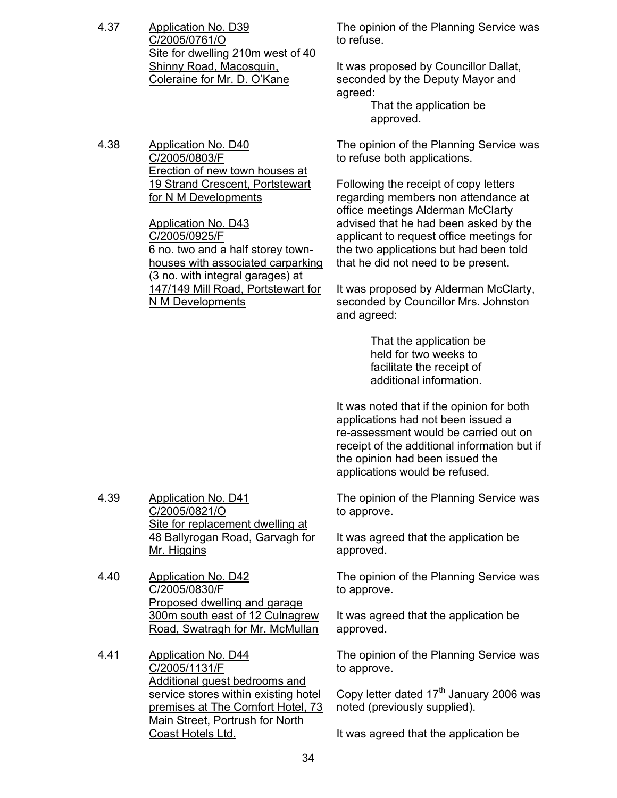- 4.37 Application No. D39 C/2005/0761/O Site for dwelling 210m west of 40 Shinny Road, Macosquin, Coleraine for Mr. D. O'Kane
- 4.38 Application No. D40 C/2005/0803/F **Erection of new town houses at** 19 Strand Crescent, Portstewart for N M Developments

Application No. D43 C/2005/0925/F 6 no. two and a half storey townhouses with associated carparking (3 no. with integral garages) at 147/149 Mill Road, Portstewart for N M Developments

The opinion of the Planning Service was to refuse.

It was proposed by Councillor Dallat, seconded by the Deputy Mayor and agreed:

 That the application be approved.

The opinion of the Planning Service was to refuse both applications.

Following the receipt of copy letters regarding members non attendance at office meetings Alderman McClarty advised that he had been asked by the applicant to request office meetings for the two applications but had been told that he did not need to be present.

It was proposed by Alderman McClarty, seconded by Councillor Mrs. Johnston and agreed:

> That the application be held for two weeks to facilitate the receipt of additional information.

It was noted that if the opinion for both applications had not been issued a re-assessment would be carried out on receipt of the additional information but if the opinion had been issued the applications would be refused.

The opinion of the Planning Service was to approve.

It was agreed that the application be approved.

The opinion of the Planning Service was to approve.

It was agreed that the application be approved.

The opinion of the Planning Service was to approve.

Copy letter dated  $17<sup>th</sup>$  January 2006 was noted (previously supplied).

It was agreed that the application be

- 4.39 Application No. D41 C/2005/0821/O Site for replacement dwelling at 48 Ballyrogan Road, Garvagh for Mr. Higgins
- 4.40 Application No. D42 C/2005/0830/F Proposed dwelling and garage 300m south east of 12 Culnagrew Road, Swatragh for Mr. McMullan
- 4.41 Application No. D44 C/2005/1131/F Additional guest bedrooms and service stores within existing hotel premises at The Comfort Hotel, 73 Main Street, Portrush for North Coast Hotels Ltd.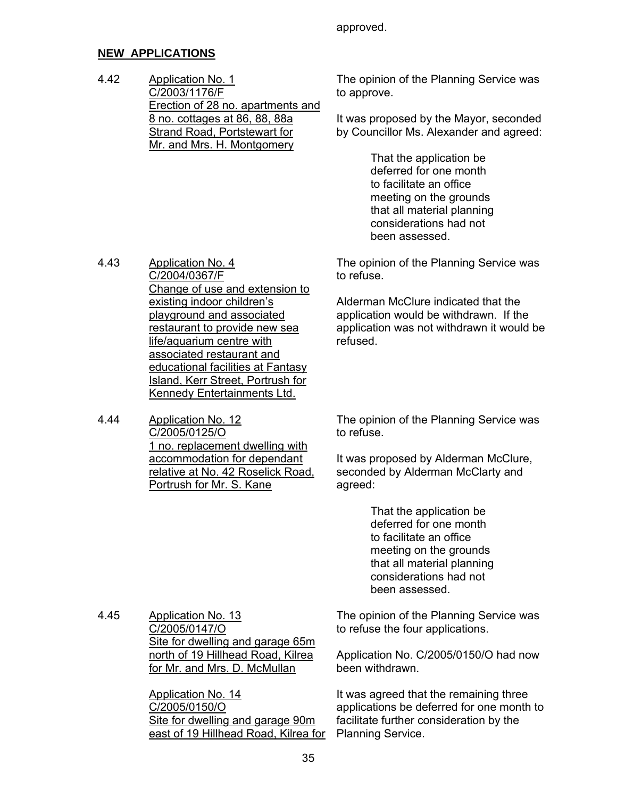approved.

## **NEW APPLICATIONS**

4.43 Application No. 4

4.44 Application No. 12

C/2005/0125/O

C/2004/0367/F

Change of use and extension to

1 no. replacement dwelling with accommodation for dependant relative at No. 42 Roselick Road,

Portrush for Mr. S. Kane

existing indoor children's playground and associated restaurant to provide new sea life/aquarium centre with associated restaurant and educational facilities at Fantasy Island, Kerr Street, Portrush for Kennedy Entertainments Ltd.

4.42 Application No. 1 C/2003/1176/F Erection of 28 no. apartments and 8 no. cottages at 86, 88, 88a Strand Road, Portstewart for Mr. and Mrs. H. Montgomery

The opinion of the Planning Service was to approve.

It was proposed by the Mayor, seconded by Councillor Ms. Alexander and agreed:

> That the application be deferred for one month to facilitate an office meeting on the grounds that all material planning considerations had not been assessed.

The opinion of the Planning Service was to refuse.

Alderman McClure indicated that the application would be withdrawn. If the application was not withdrawn it would be refused.

The opinion of the Planning Service was to refuse.

It was proposed by Alderman McClure, seconded by Alderman McClarty and agreed:

> That the application be deferred for one month to facilitate an office meeting on the grounds that all material planning considerations had not been assessed.

4.45 Application No. 13 C/2005/0147/O Site for dwelling and garage 65m north of 19 Hillhead Road, Kilrea for Mr. and Mrs. D. McMullan

> Application No. 14 C/2005/0150/O Site for dwelling and garage 90m east of 19 Hillhead Road, Kilrea for

The opinion of the Planning Service was to refuse the four applications.

Application No. C/2005/0150/O had now been withdrawn.

It was agreed that the remaining three applications be deferred for one month to facilitate further consideration by the Planning Service.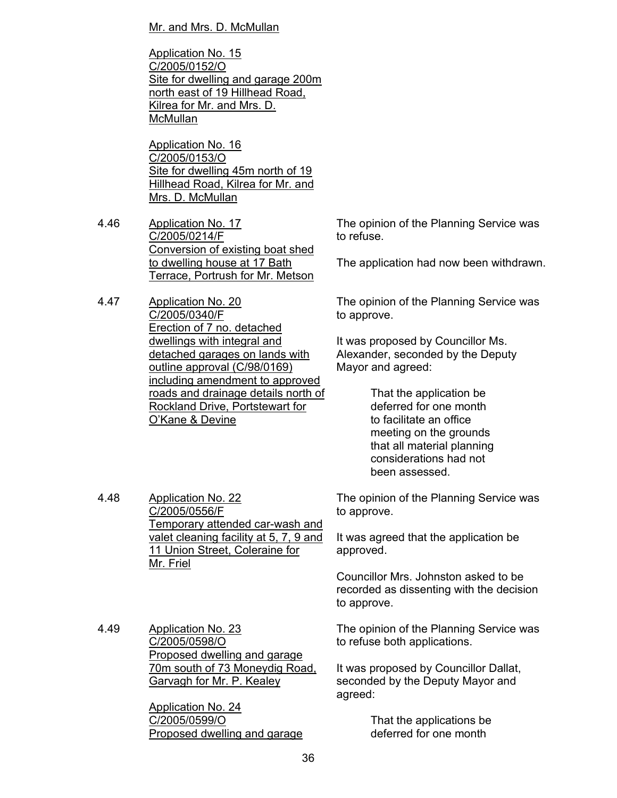Mr. and Mrs. D. McMullan

Application No. 15 C/2005/0152/O Site for dwelling and garage 200m north east of 19 Hillhead Road, Kilrea for Mr. and Mrs. D. **McMullan** 

Application No. 16 C/2005/0153/O Site for dwelling 45m north of 19 Hillhead Road, Kilrea for Mr. and Mrs. D. McMullan

4.46 Application No. 17 C/2005/0214/F Conversion of existing boat shed to dwelling house at 17 Bath Terrace, Portrush for Mr. Metson

4.47 Application No. 20 C/2005/0340/F Erection of 7 no. detached dwellings with integral and detached garages on lands with outline approval (C/98/0169) including amendment to approved roads and drainage details north of Rockland Drive, Portstewart for O'Kane & Devine

The opinion of the Planning Service was to refuse.

The application had now been withdrawn.

The opinion of the Planning Service was to approve.

It was proposed by Councillor Ms. Alexander, seconded by the Deputy Mayor and agreed:

> That the application be deferred for one month to facilitate an office meeting on the grounds that all material planning considerations had not been assessed.

4.48 Application No. 22 C/2005/0556/F Temporary attended car-wash and valet cleaning facility at 5, 7, 9 and 11 Union Street, Coleraine for Mr. Friel

The opinion of the Planning Service was to approve.

It was agreed that the application be approved.

Councillor Mrs. Johnston asked to be recorded as dissenting with the decision to approve.

4.49 Application No. 23 C/2005/0598/O Proposed dwelling and garage 70m south of 73 Moneydig Road, Garvagh for Mr. P. Kealey

> Application No. 24 C/2005/0599/O Proposed dwelling and garage

The opinion of the Planning Service was to refuse both applications.

It was proposed by Councillor Dallat, seconded by the Deputy Mayor and agreed:

> That the applications be deferred for one month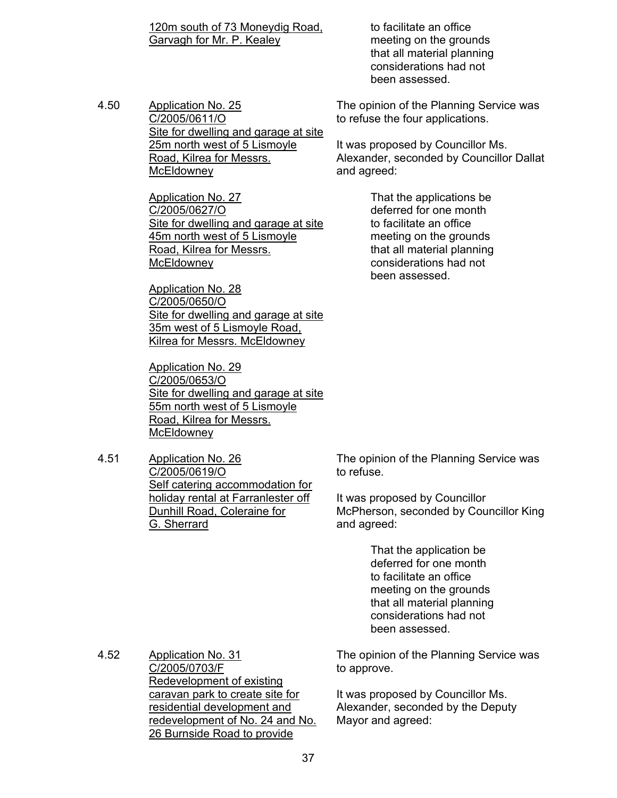120m south of 73 Moneydig Road, Garvagh for Mr. P. Kealey

 to facilitate an office meeting on the grounds that all material planning considerations had not been assessed.

4.50 Application No. 25 C/2005/0611/O Site for dwelling and garage at site 25m north west of 5 Lismoyle Road, Kilrea for Messrs. **McEldowney** 

> Application No. 27 C/2005/0627/O Site for dwelling and garage at site 45m north west of 5 Lismoyle Road, Kilrea for Messrs. **McEldowney**

> Application No. 28 C/2005/0650/O Site for dwelling and garage at site 35m west of 5 Lismoyle Road, Kilrea for Messrs. McEldowney

> Application No. 29 C/2005/0653/O Site for dwelling and garage at site 55m north west of 5 Lismoyle Road, Kilrea for Messrs. **McEldowney**

4.51 Application No. 26 C/2005/0619/O Self catering accommodation for holiday rental at Farranlester off Dunhill Road, Coleraine for G. Sherrard

The opinion of the Planning Service was to refuse the four applications.

It was proposed by Councillor Ms. Alexander, seconded by Councillor Dallat and agreed:

> That the applications be deferred for one month to facilitate an office meeting on the grounds that all material planning considerations had not been assessed.

The opinion of the Planning Service was to refuse.

It was proposed by Councillor McPherson, seconded by Councillor King and agreed:

> That the application be deferred for one month to facilitate an office meeting on the grounds that all material planning considerations had not been assessed.

4.52 Application No. 31 C/2005/0703/F Redevelopment of existing caravan park to create site for residential development and redevelopment of No. 24 and No. 26 Burnside Road to provide

The opinion of the Planning Service was to approve.

It was proposed by Councillor Ms. Alexander, seconded by the Deputy Mayor and agreed: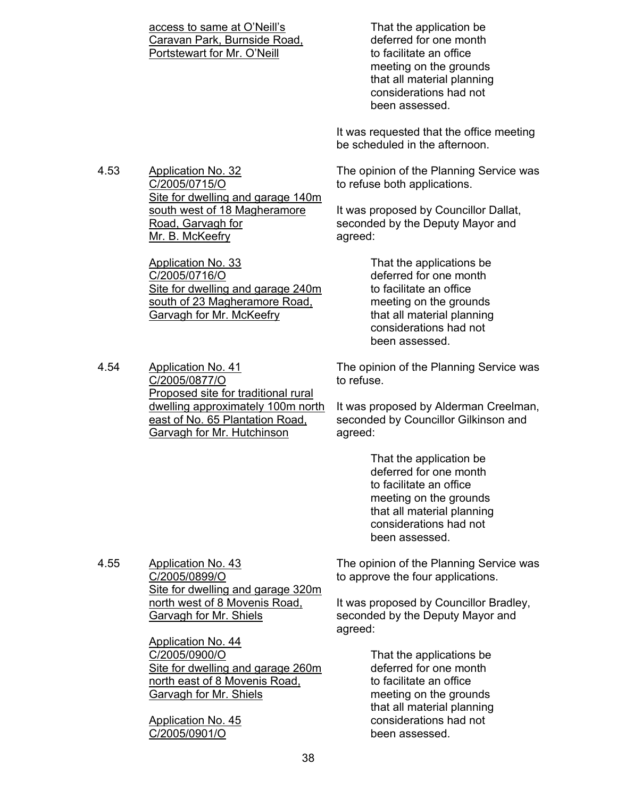access to same at O'Neill's Caravan Park, Burnside Road, Portstewart for Mr. O'Neill That the application be deferred for one month to facilitate an office meeting on the grounds that all material planning considerations had not been assessed. It was requested that the office meeting be scheduled in the afternoon. 4.53 Application No. 32 C/2005/0715/O Site for dwelling and garage 140m south west of 18 Magheramore Road, Garvagh for Mr. B. McKeefry Application No. 33 C/2005/0716/O Site for dwelling and garage 240m south of 23 Magheramore Road, Garvagh for Mr. McKeefry The opinion of the Planning Service was to refuse both applications. It was proposed by Councillor Dallat, seconded by the Deputy Mayor and agreed: That the applications be deferred for one month to facilitate an office meeting on the grounds that all material planning considerations had not been assessed. 4.54 Application No. 41 C/2005/0877/O Proposed site for traditional rural dwelling approximately 100m north east of No. 65 Plantation Road, Garvagh for Mr. Hutchinson The opinion of the Planning Service was to refuse. It was proposed by Alderman Creelman, seconded by Councillor Gilkinson and agreed: That the application be deferred for one month to facilitate an office meeting on the grounds that all material planning considerations had not been assessed. 4.55 Application No. 43 C/2005/0899/O Site for dwelling and garage 320m north west of 8 Movenis Road, Garvagh for Mr. Shiels Application No. 44 C/2005/0900/O Site for dwelling and garage 260m The opinion of the Planning Service was to approve the four applications. It was proposed by Councillor Bradley, seconded by the Deputy Mayor and agreed: That the applications be

 deferred for one month to facilitate an office meeting on the grounds that all material planning considerations had not been assessed.

north east of 8 Movenis Road,

Garvagh for Mr. Shiels

Application No. 45 C/2005/0901/O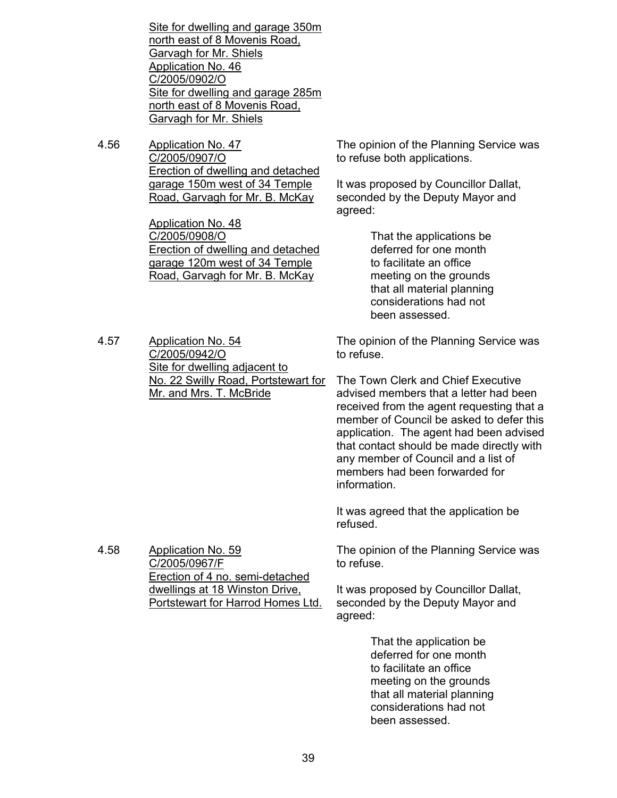Site for dwelling and garage 350m north east of 8 Movenis Road, Garvagh for Mr. Shiels Application No. 46 C/2005/0902/O Site for dwelling and garage 285m north east of 8 Movenis Road, Garvagh for Mr. Shiels

4.56 Application No. 47 C/2005/0907/O Erection of dwelling and detached garage 150m west of 34 Temple Road, Garvagh for Mr. B. McKay

> Application No. 48 C/2005/0908/O Erection of dwelling and detached garage 120m west of 34 Temple Road, Garvagh for Mr. B. McKay

The opinion of the Planning Service was to refuse both applications.

It was proposed by Councillor Dallat, seconded by the Deputy Mayor and agreed:

> That the applications be deferred for one month to facilitate an office meeting on the grounds that all material planning considerations had not been assessed.

4.57 Application No. 54 C/2005/0942/O Site for dwelling adjacent to No. 22 Swilly Road, Portstewart for Mr. and Mrs. T. McBride

4.58 Application No. 59

C/2005/0967/F

Erection of 4 no. semi-detached dwellings at 18 Winston Drive, Portstewart for Harrod Homes Ltd. The opinion of the Planning Service was to refuse.

The Town Clerk and Chief Executive advised members that a letter had been received from the agent requesting that a member of Council be asked to defer this application. The agent had been advised that contact should be made directly with any member of Council and a list of members had been forwarded for information.

It was agreed that the application be refused.

The opinion of the Planning Service was to refuse.

It was proposed by Councillor Dallat, seconded by the Deputy Mayor and agreed:

> That the application be deferred for one month to facilitate an office meeting on the grounds that all material planning considerations had not been assessed.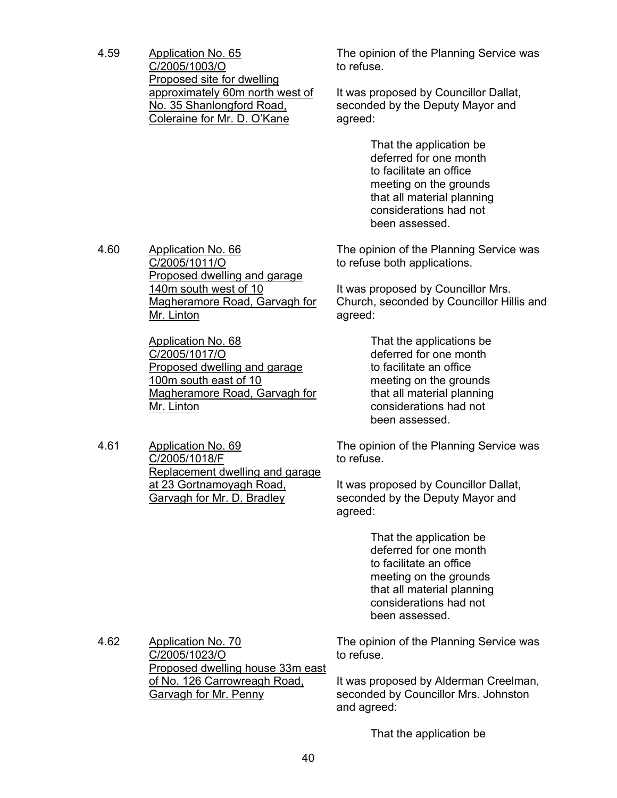4.59 Application No. 65 C/2005/1003/O Proposed site for dwelling approximately 60m north west of No. 35 Shanlongford Road, Coleraine for Mr. D. O'Kane

The opinion of the Planning Service was to refuse.

It was proposed by Councillor Dallat, seconded by the Deputy Mayor and agreed:

> That the application be deferred for one month to facilitate an office meeting on the grounds that all material planning considerations had not been assessed.

The opinion of the Planning Service was to refuse both applications.

It was proposed by Councillor Mrs. Church, seconded by Councillor Hillis and agreed:

> That the applications be deferred for one month to facilitate an office meeting on the grounds that all material planning considerations had not been assessed.

The opinion of the Planning Service was to refuse.

It was proposed by Councillor Dallat, seconded by the Deputy Mayor and agreed:

> That the application be deferred for one month to facilitate an office meeting on the grounds that all material planning considerations had not been assessed.

The opinion of the Planning Service was to refuse.

It was proposed by Alderman Creelman, seconded by Councillor Mrs. Johnston and agreed:

That the application be

4.60 Application No. 66 C/2005/1011/O Proposed dwelling and garage 140m south west of 10 Magheramore Road, Garvagh for Mr. Linton

> Application No. 68 C/2005/1017/O Proposed dwelling and garage 100m south east of 10 Magheramore Road, Garvagh for Mr. Linton

4.61 Application No. 69 C/2005/1018/F Replacement dwelling and garage at 23 Gortnamoyagh Road, Garvagh for Mr. D. Bradley

4.62 Application No. 70 C/2005/1023/O Proposed dwelling house 33m east of No. 126 Carrowreagh Road, Garvagh for Mr. Penny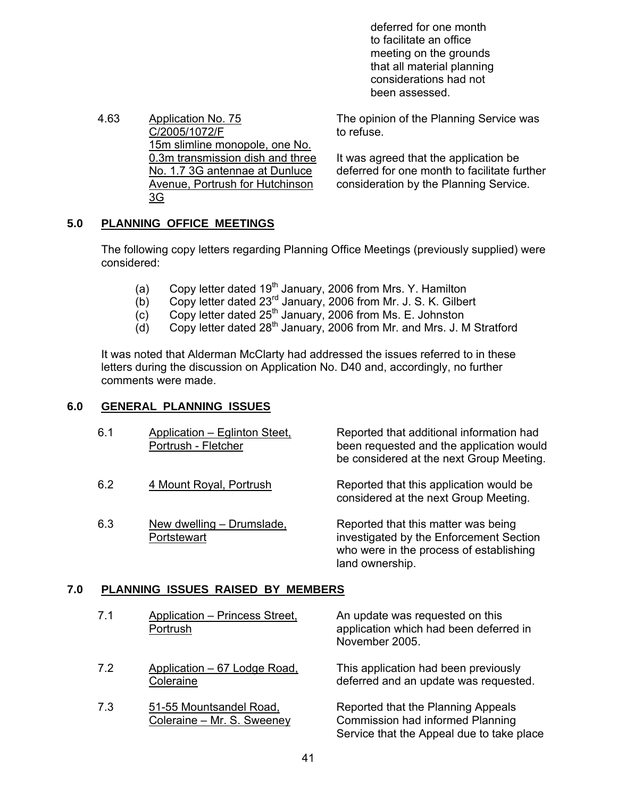deferred for one month to facilitate an office meeting on the grounds that all material planning considerations had not been assessed.

4.63 Application No. 75 C/2005/1072/F 15m slimline monopole, one No. 0.3m transmission dish and three No. 1.7 3G antennae at Dunluce Avenue, Portrush for Hutchinson 3G

The opinion of the Planning Service was to refuse.

It was agreed that the application be deferred for one month to facilitate further consideration by the Planning Service.

## **5.0 PLANNING OFFICE MEETINGS**

 The following copy letters regarding Planning Office Meetings (previously supplied) were considered:

- (a) Copy letter dated  $19<sup>th</sup>$  January, 2006 from Mrs. Y. Hamilton
- (b) Copy letter dated 23rd January, 2006 from Mr. J. S. K. Gilbert
- $(c)$  Copy letter dated 25<sup>th</sup> January, 2006 from Ms. E. Johnston
	- $\overrightarrow{d}$  Copy letter dated 28<sup>th</sup> January, 2006 from Mr. and Mrs. J. M Stratford

 It was noted that Alderman McClarty had addressed the issues referred to in these letters during the discussion on Application No. D40 and, accordingly, no further comments were made.

## **6.0 GENERAL PLANNING ISSUES**

| 6.1 | Application - Eglinton Steet,<br>Portrush - Fletcher | Reported that additional information had<br>been requested and the application would<br>be considered at the next Group Meeting. |
|-----|------------------------------------------------------|----------------------------------------------------------------------------------------------------------------------------------|
| 6.2 | 4 Mount Royal, Portrush                              | Reported that this application would be<br>considered at the next Group Meeting.                                                 |
| 6.3 | New dwelling - Drumslade.<br>Portstewart             | Reported that this matter was being<br>investigated by the Enforcement Section<br>who were in the process of establishing        |

land ownership.

## **7.0 PLANNING ISSUES RAISED BY MEMBERS**

| 7.1 | Application - Princess Street,<br>Portrush            | An update was requested on this<br>application which had been deferred in<br>November 2005.                         |
|-----|-------------------------------------------------------|---------------------------------------------------------------------------------------------------------------------|
| 7.2 | Application - 67 Lodge Road,<br>Coleraine             | This application had been previously<br>deferred and an update was requested.                                       |
| 7.3 | 51-55 Mountsandel Road,<br>Coleraine - Mr. S. Sweeney | Reported that the Planning Appeals<br>Commission had informed Planning<br>Service that the Appeal due to take place |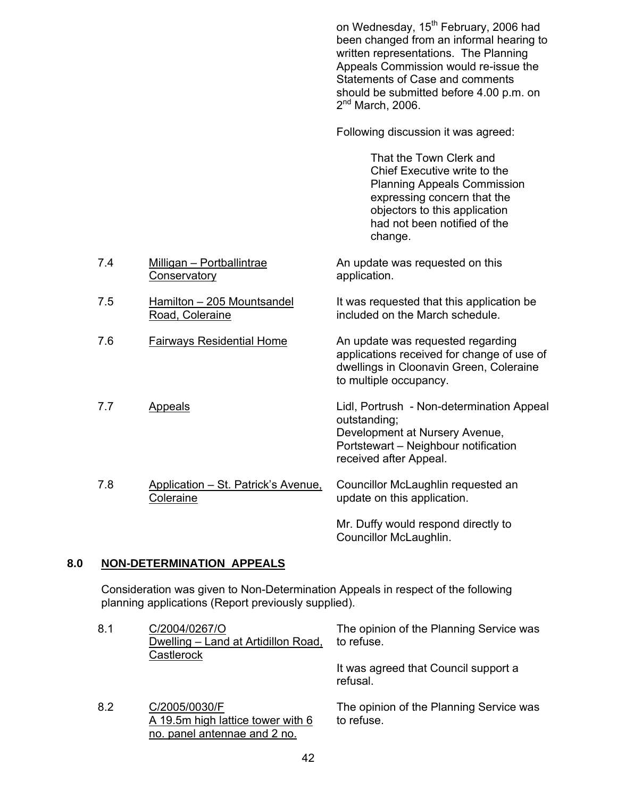on Wednesday, 15<sup>th</sup> February, 2006 had been changed from an informal hearing to written representations. The Planning Appeals Commission would re-issue the Statements of Case and comments should be submitted before 4.00 p.m. on  $2<sup>nd</sup>$  March, 2006. Following discussion it was agreed: That the Town Clerk and Chief Executive write to the Planning Appeals Commission expressing concern that the objectors to this application had not been notified of the change. 7.4 Milligan – Portballintrae **Conservatory** An update was requested on this application. 7.5 Hamilton – 205 Mountsandel Road, Coleraine It was requested that this application be included on the March schedule. 7.6 Fairways Residential Home An update was requested regarding applications received for change of use of dwellings in Cloonavin Green, Coleraine to multiple occupancy. 7.7 Appeals Lidl, Portrush - Non-determination Appeal outstanding; Development at Nursery Avenue, Portstewart – Neighbour notification received after Appeal. 7.8 Application – St. Patrick's Avenue, **Coleraine** Councillor McLaughlin requested an update on this application. Mr. Duffy would respond directly to Councillor McLaughlin.

## **8.0 NON-DETERMINATION APPEALS**

 Consideration was given to Non-Determination Appeals in respect of the following planning applications (Report previously supplied).

| 8.1 | C/2004/0267/O<br>Dwelling - Land at Artidillon Road,<br>Castlerock                 | The opinion of the Planning Service was<br>to refuse. |
|-----|------------------------------------------------------------------------------------|-------------------------------------------------------|
|     |                                                                                    | It was agreed that Council support a<br>refusal.      |
| 8.2 | C/2005/0030/F<br>A 19.5m high lattice tower with 6<br>no. panel antennae and 2 no. | The opinion of the Planning Service was<br>to refuse. |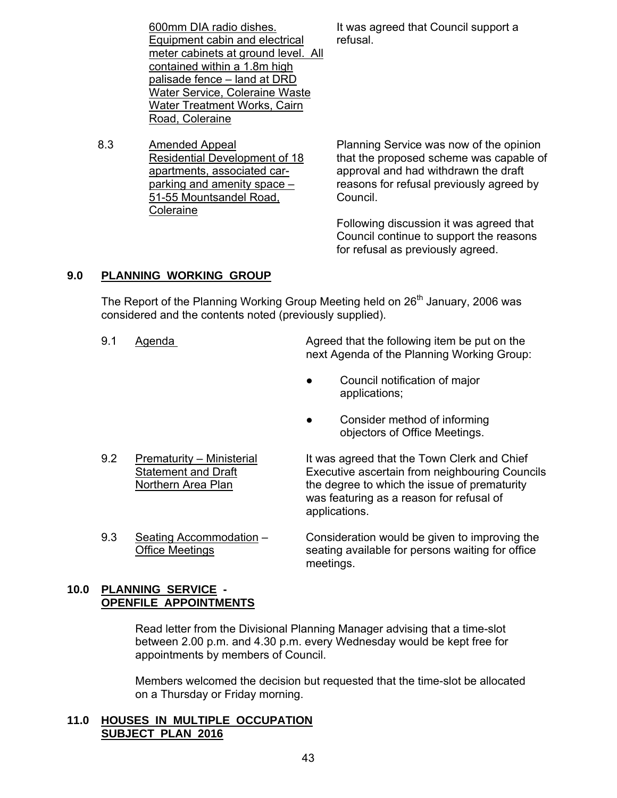600mm DIA radio dishes. Equipment cabin and electrical meter cabinets at ground level. All contained within a 1.8m high palisade fence – land at DRD Water Service, Coleraine Waste Water Treatment Works, Cairn It was agreed that Council support a refusal.

8.3 Amended Appeal Residential Development of 18 apartments, associated carparking and amenity space – 51-55 Mountsandel Road, Coleraine

Road, Coleraine

Planning Service was now of the opinion that the proposed scheme was capable of approval and had withdrawn the draft reasons for refusal previously agreed by Council.

Following discussion it was agreed that Council continue to support the reasons for refusal as previously agreed.

## **9.0 PLANNING WORKING GROUP**

The Report of the Planning Working Group Meeting held on  $26<sup>th</sup>$  January, 2006 was considered and the contents noted (previously supplied).

- 9.1 Agenda **Agreed that the following item be put on the** put on the next Agenda of the Planning Working Group:
	- Council notification of major applications;
	- Consider method of informing objectors of Office Meetings.
- 

9.2 Prematurity – Ministerial It was agreed that the Town Clerk and Chief Statement and Draft Executive ascertain from neighbouring Councils Northern Area Plan the degree to which the issue of prematurity was featuring as a reason for refusal of applications.

9.3 Seating Accommodation – Consideration would be given to improving the Office Meetings seating available for persons waiting for office meetings.

## **10.0 PLANNING SERVICE - OPENFILE APPOINTMENTS**

 Read letter from the Divisional Planning Manager advising that a time-slot between 2.00 p.m. and 4.30 p.m. every Wednesday would be kept free for appointments by members of Council.

 Members welcomed the decision but requested that the time-slot be allocated on a Thursday or Friday morning.

## **11.0 HOUSES IN MULTIPLE OCCUPATION SUBJECT PLAN 2016**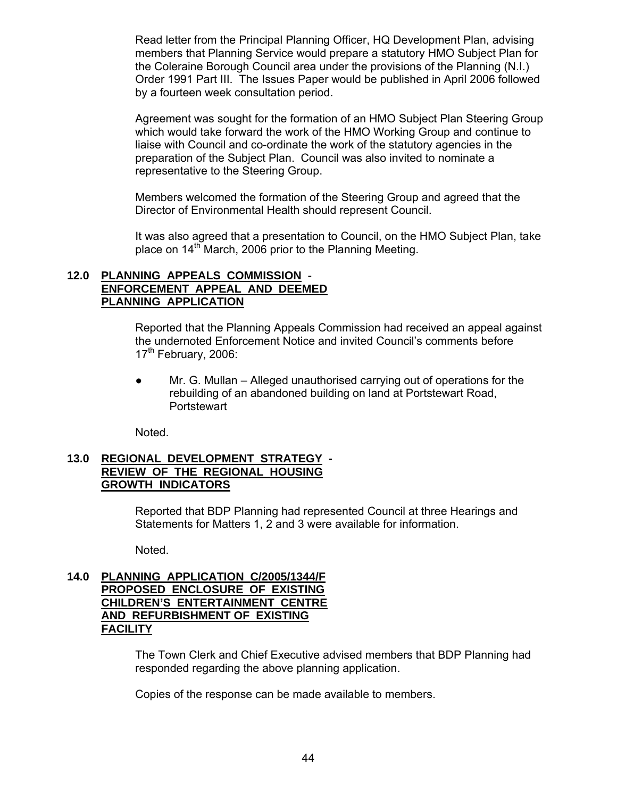Read letter from the Principal Planning Officer, HQ Development Plan, advising members that Planning Service would prepare a statutory HMO Subject Plan for the Coleraine Borough Council area under the provisions of the Planning (N.I.) Order 1991 Part III. The Issues Paper would be published in April 2006 followed by a fourteen week consultation period.

 Agreement was sought for the formation of an HMO Subject Plan Steering Group which would take forward the work of the HMO Working Group and continue to liaise with Council and co-ordinate the work of the statutory agencies in the preparation of the Subject Plan. Council was also invited to nominate a representative to the Steering Group.

 Members welcomed the formation of the Steering Group and agreed that the Director of Environmental Health should represent Council.

 It was also agreed that a presentation to Council, on the HMO Subject Plan, take place on  $14<sup>th</sup>$  March, 2006 prior to the Planning Meeting.

## **12.0 PLANNING APPEALS COMMISSION** -  **ENFORCEMENT APPEAL AND DEEMED PLANNING APPLICATION**

 Reported that the Planning Appeals Commission had received an appeal against the undernoted Enforcement Notice and invited Council's comments before  $17<sup>th</sup>$  February, 2006:

Mr. G. Mullan – Alleged unauthorised carrying out of operations for the rebuilding of an abandoned building on land at Portstewart Road, **Portstewart** 

Noted.

## **13.0 REGIONAL DEVELOPMENT STRATEGY - REVIEW OF THE REGIONAL HOUSING GROWTH INDICATORS**

 Reported that BDP Planning had represented Council at three Hearings and Statements for Matters 1, 2 and 3 were available for information.

Noted.

## **14.0 PLANNING APPLICATION C/2005/1344/F PROPOSED ENCLOSURE OF EXISTING CHILDREN'S ENTERTAINMENT CENTRE AND REFURBISHMENT OF EXISTING FACILITY**

 The Town Clerk and Chief Executive advised members that BDP Planning had responded regarding the above planning application.

Copies of the response can be made available to members.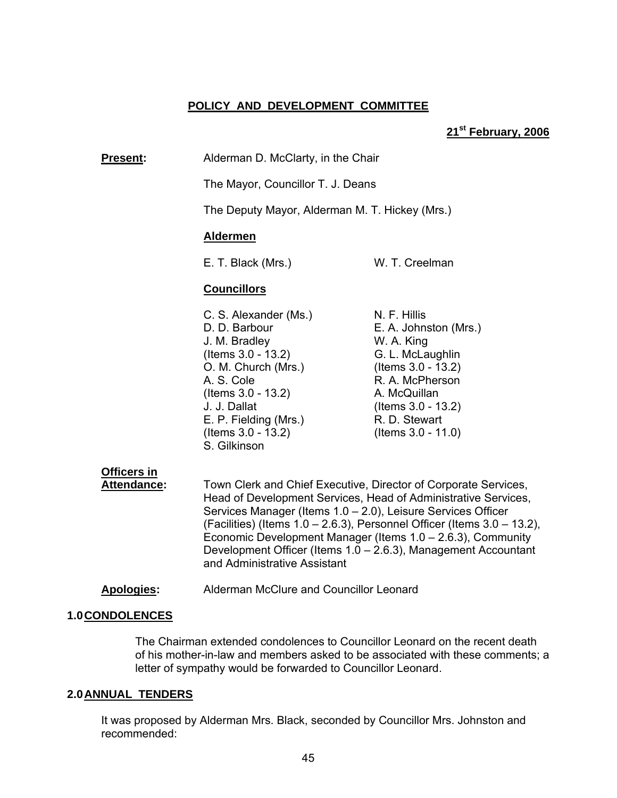## **POLICY AND DEVELOPMENT COMMITTEE**

#### **21st February, 2006**

**Present:** Alderman D. McClarty, in the Chair

The Mayor, Councillor T. J. Deans

The Deputy Mayor, Alderman M. T. Hickey (Mrs.)

#### **Aldermen**

E. T. Black (Mrs.) W. T. Creelman

#### **Councillors**

C. S. Alexander (Ms.) N. F. Hillis J. M. Bradley W. A. King (Items 3.0 - 13.2) G. L. McLaughlin O. M. Church (Mrs.) (Items 3.0 - 13.2) A. S. Cole R. A. McPherson (Items 3.0 - 13.2) A. McQuillan J. J. Dallat (Items 3.0 - 13.2) E. P. Fielding (Mrs.) R. D. Stewart (Items 3.0 - 13.2) (Items 3.0 - 11.0) S. Gilkinson

D. D. Barbour **E. A. Johnston (Mrs.)** 

## **Officers in**

 **Attendance:** Town Clerk and Chief Executive, Director of Corporate Services, Head of Development Services, Head of Administrative Services, Services Manager (Items 1.0 – 2.0), Leisure Services Officer (Facilities) (Items 1.0 – 2.6.3), Personnel Officer (Items 3.0 – 13.2), Economic Development Manager (Items 1.0 – 2.6.3), Community Development Officer (Items 1.0 – 2.6.3), Management Accountant and Administrative Assistant

#### **Apologies:** Alderman McClure and Councillor Leonard

#### **1.0 CONDOLENCES**

 The Chairman extended condolences to Councillor Leonard on the recent death of his mother-in-law and members asked to be associated with these comments; a letter of sympathy would be forwarded to Councillor Leonard.

#### **2.0 ANNUAL TENDERS**

It was proposed by Alderman Mrs. Black, seconded by Councillor Mrs. Johnston and recommended: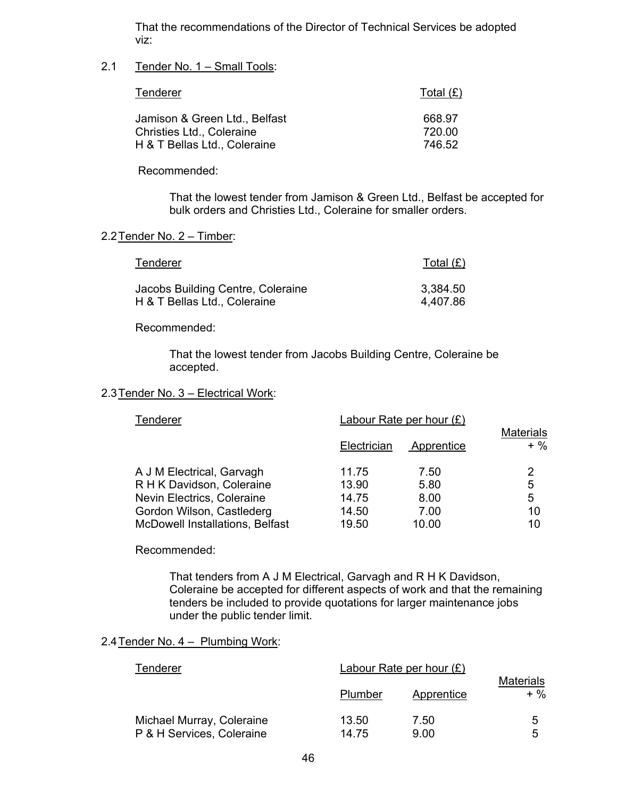That the recommendations of the Director of Technical Services be adopted viz:

## 2.1 Tender No. 1 – Small Tools:

| <b>Tenderer</b>                                                  | Total (£)        |
|------------------------------------------------------------------|------------------|
| Jamison & Green Ltd., Belfast                                    | 668.97           |
| <b>Christies Ltd., Coleraine</b><br>H & T Bellas Ltd., Coleraine | 720.00<br>746.52 |
|                                                                  |                  |

Recommended:

That the lowest tender from Jamison & Green Ltd., Belfast be accepted for bulk orders and Christies Ltd., Coleraine for smaller orders.

#### 2.2 Tender No. 2 – Timber:

| Tenderer                          | Total $(E)$ |
|-----------------------------------|-------------|
| Jacobs Building Centre, Coleraine | 3,384.50    |
| H & T Bellas Ltd., Coleraine      | 4,407.86    |

Recommended:

 That the lowest tender from Jacobs Building Centre, Coleraine be accepted.

#### 2.3 Tender No. 3 – Electrical Work:

| Tenderer                                                                                                                                                    | Labour Rate per hour $(E)$                | <b>Materials</b>                      |                         |
|-------------------------------------------------------------------------------------------------------------------------------------------------------------|-------------------------------------------|---------------------------------------|-------------------------|
|                                                                                                                                                             | Electrician                               | Apprentice                            | $+$ %                   |
| A J M Electrical, Garvagh<br>R H K Davidson, Coleraine<br>Nevin Electrics, Coleraine<br>Gordon Wilson, Castlederg<br><b>McDowell Installations, Belfast</b> | 11.75<br>13.90<br>14.75<br>14.50<br>19.50 | 7.50<br>5.80<br>8.00<br>7.00<br>10.00 | 2<br>5<br>5<br>10<br>10 |

#### Recommended:

 That tenders from A J M Electrical, Garvagh and R H K Davidson, Coleraine be accepted for different aspects of work and that the remaining tenders be included to provide quotations for larger maintenance jobs under the public tender limit.

## 2.4 Tender No. 4 – Plumbing Work:

| Tenderer                  | Labour Rate per hour $(E)$ |            |                         |
|---------------------------|----------------------------|------------|-------------------------|
|                           | Plumber                    | Apprentice | <b>Materials</b><br>+ % |
| Michael Murray, Coleraine | 13.50                      | 7.50       | 5                       |
| P & H Services, Coleraine | 14.75                      | 9.00       | 5                       |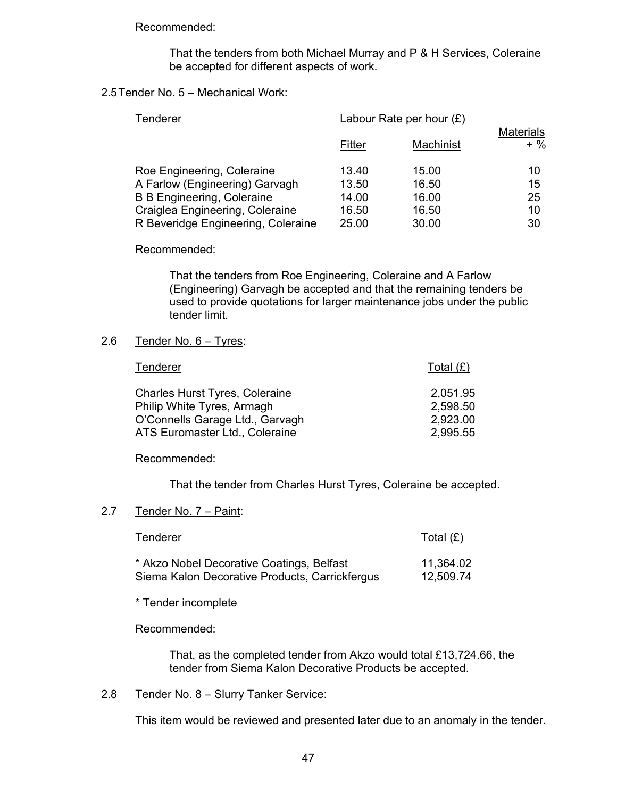Recommended:

 That the tenders from both Michael Murray and P & H Services, Coleraine be accepted for different aspects of work.

#### 2.5 Tender No. 5 – Mechanical Work:

| Tenderer                                                                                                                                                                   | Labour Rate per hour $(E)$                |                                           |                            |
|----------------------------------------------------------------------------------------------------------------------------------------------------------------------------|-------------------------------------------|-------------------------------------------|----------------------------|
|                                                                                                                                                                            | Fitter                                    | Machinist                                 | <b>Materials</b><br>$+$ %  |
| Roe Engineering, Coleraine<br>A Farlow (Engineering) Garvagh<br><b>B B Engineering, Coleraine</b><br>Craiglea Engineering, Coleraine<br>R Beveridge Engineering, Coleraine | 13.40<br>13.50<br>14.00<br>16.50<br>25.00 | 15.00<br>16.50<br>16.00<br>16.50<br>30.00 | 10<br>15<br>25<br>10<br>30 |

#### Recommended:

 That the tenders from Roe Engineering, Coleraine and A Farlow (Engineering) Garvagh be accepted and that the remaining tenders be used to provide quotations for larger maintenance jobs under the public tender limit.

#### 2.6 Tender No. 6 – Tyres:

| Tenderer                              | Total $(E)$ |
|---------------------------------------|-------------|
| <b>Charles Hurst Tyres, Coleraine</b> | 2,051.95    |
| Philip White Tyres, Armagh            | 2,598.50    |
| O'Connells Garage Ltd., Garvagh       | 2,923.00    |
| ATS Euromaster Ltd., Coleraine        | 2,995.55    |

#### Recommended:

That the tender from Charles Hurst Tyres, Coleraine be accepted.

#### 2.7 Tender No. 7 - Paint:

| Tenderer                                       | Total $(E)$ |
|------------------------------------------------|-------------|
| * Akzo Nobel Decorative Coatings, Belfast      | 11,364.02   |
| Siema Kalon Decorative Products, Carrickfergus | 12,509.74   |

\* Tender incomplete

Recommended:

 That, as the completed tender from Akzo would total £13,724.66, the tender from Siema Kalon Decorative Products be accepted.

#### 2.8 Tender No. 8 – Slurry Tanker Service:

This item would be reviewed and presented later due to an anomaly in the tender.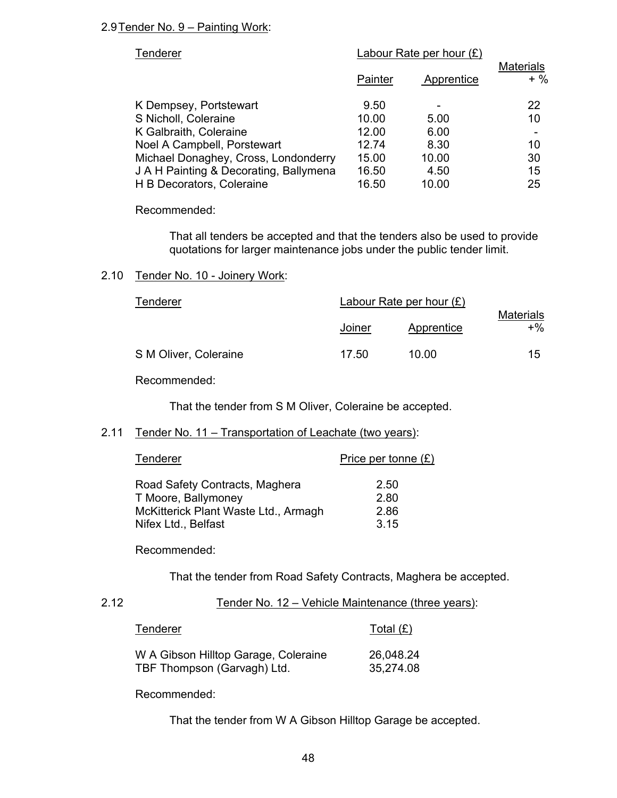## 2.9 Tender No. 9 – Painting Work:

| Tenderer                               |         | Labour Rate per hour $(E)$ |                           |
|----------------------------------------|---------|----------------------------|---------------------------|
|                                        | Painter | Apprentice                 | <b>Materials</b><br>$+$ % |
| K Dempsey, Portstewart                 | 9.50    |                            | 22                        |
| S Nicholl, Coleraine                   | 10.00   | 5.00                       | 10                        |
| K Galbraith, Coleraine                 | 12.00   | 6.00                       |                           |
| Noel A Campbell, Porstewart            | 12.74   | 8.30                       | 10                        |
| Michael Donaghey, Cross, Londonderry   | 15.00   | 10.00                      | 30                        |
| J A H Painting & Decorating, Ballymena | 16.50   | 4.50                       | 15                        |
| H B Decorators, Coleraine              | 16.50   | 10.00                      | 25                        |
|                                        |         |                            |                           |

Recommended:

That all tenders be accepted and that the tenders also be used to provide quotations for larger maintenance jobs under the public tender limit.

#### 2.10 Tender No. 10 - Joinery Work:

| Tenderer              |               | Labour Rate per hour $(E)$ |                           |
|-----------------------|---------------|----------------------------|---------------------------|
|                       | <u>Joiner</u> | <b>Apprentice</b>          | <b>Materials</b><br>$+$ % |
| S M Oliver, Coleraine | 17.50         | 10.00                      | 15                        |

Recommended:

That the tender from S M Oliver, Coleraine be accepted.

## 2.11 Tender No. 11 – Transportation of Leachate (two years):

| Tenderer                                                                                                             | Price per tonne $(E)$        |
|----------------------------------------------------------------------------------------------------------------------|------------------------------|
| Road Safety Contracts, Maghera<br>T Moore, Ballymoney<br>McKitterick Plant Waste Ltd., Armagh<br>Nifex Ltd., Belfast | 2.50<br>2.80<br>2.86<br>3.15 |
|                                                                                                                      |                              |

## Recommended:

That the tender from Road Safety Contracts, Maghera be accepted.

#### 2.12 Tender No. 12 – Vehicle Maintenance (three years):

| Tenderer                             | Total $(E)$ |
|--------------------------------------|-------------|
| W A Gibson Hilltop Garage, Coleraine | 26,048.24   |
| TBF Thompson (Garvagh) Ltd.          | 35,274.08   |

Recommended:

That the tender from W A Gibson Hilltop Garage be accepted.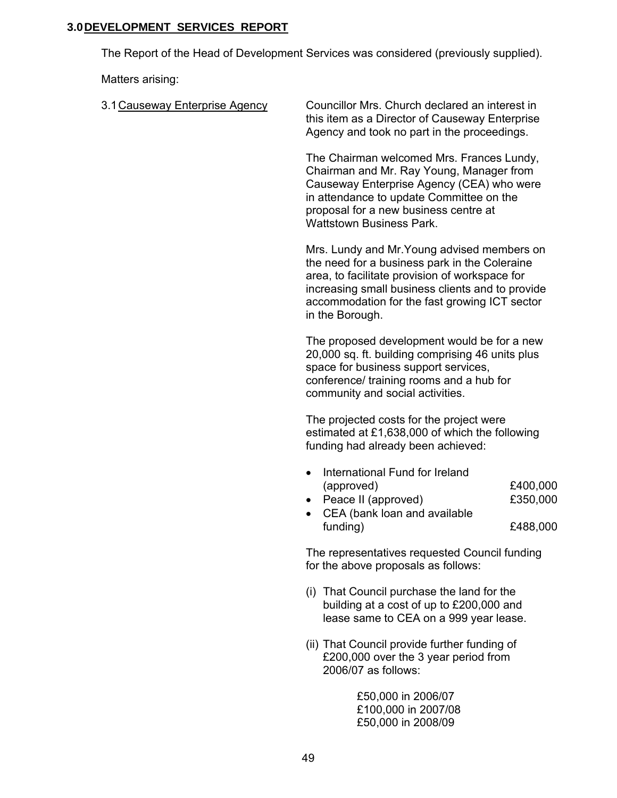## **3.0 DEVELOPMENT SERVICES REPORT**

The Report of the Head of Development Services was considered (previously supplied).

Matters arising:

| 3.1 Causeway Enterprise Agency | Councillor Mrs. Church declared an interest in<br>this item as a Director of Causeway Enterprise<br>Agency and took no part in the proceedings.                                                                                                                        |                                  |
|--------------------------------|------------------------------------------------------------------------------------------------------------------------------------------------------------------------------------------------------------------------------------------------------------------------|----------------------------------|
|                                | The Chairman welcomed Mrs. Frances Lundy,<br>Chairman and Mr. Ray Young, Manager from<br>Causeway Enterprise Agency (CEA) who were<br>in attendance to update Committee on the<br>proposal for a new business centre at<br><b>Wattstown Business Park.</b>             |                                  |
|                                | Mrs. Lundy and Mr. Young advised members on<br>the need for a business park in the Coleraine<br>area, to facilitate provision of workspace for<br>increasing small business clients and to provide<br>accommodation for the fast growing ICT sector<br>in the Borough. |                                  |
|                                | The proposed development would be for a new<br>20,000 sq. ft. building comprising 46 units plus<br>space for business support services,<br>conference/ training rooms and a hub for<br>community and social activities.                                                |                                  |
|                                | The projected costs for the project were<br>estimated at £1,638,000 of which the following<br>funding had already been achieved:                                                                                                                                       |                                  |
|                                | International Fund for Ireland<br>(approved)<br>Peace II (approved)<br>CEA (bank loan and available<br>funding)                                                                                                                                                        | £400,000<br>£350,000<br>£488,000 |
|                                | The representatives requested Council funding<br>for the above proposals as follows:                                                                                                                                                                                   |                                  |
|                                | (i) That Council purchase the land for the<br>building at a cost of up to £200,000 and<br>lease same to CEA on a 999 year lease.                                                                                                                                       |                                  |
|                                | (ii) That Council provide further funding of<br>£200,000 over the 3 year period from<br>2006/07 as follows:                                                                                                                                                            |                                  |
|                                | £50,000 in 2006/07<br>£100,000 in 2007/08<br>£50,000 in 2008/09                                                                                                                                                                                                        |                                  |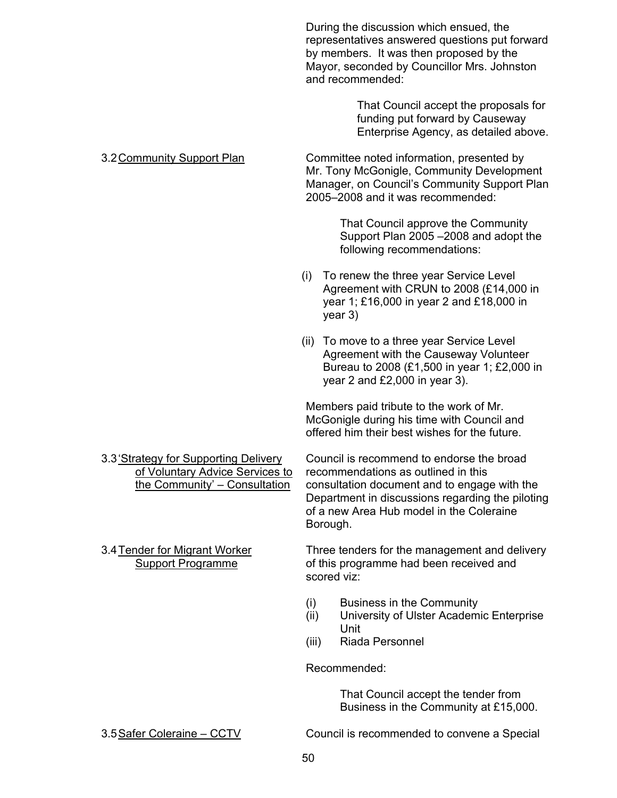During the discussion which ensued, the representatives answered questions put forward by members. It was then proposed by the Mayor, seconded by Councillor Mrs. Johnston and recommended:

> That Council accept the proposals for funding put forward by Causeway Enterprise Agency, as detailed above.

3.2 Community Support Plan Committee noted information, presented by Mr. Tony McGonigle, Community Development Manager, on Council's Community Support Plan 2005–2008 and it was recommended:

> That Council approve the Community Support Plan 2005 –2008 and adopt the following recommendations:

- (i) To renew the three year Service Level Agreement with CRUN to 2008 (£14,000 in year 1; £16,000 in year 2 and £18,000 in year 3)
- (ii) To move to a three year Service Level Agreement with the Causeway Volunteer Bureau to 2008 (£1,500 in year 1; £2,000 in year 2 and £2,000 in year 3).

Members paid tribute to the work of Mr. McGonigle during his time with Council and offered him their best wishes for the future.

3.3 'Strategy for Supporting Delivery Council is recommend to endorse the broad of Voluntary Advice Services to recommendations as outlined in this the Community' – Consultation consultation document and to engage with the Department in discussions regarding the piloting of a new Area Hub model in the Coleraine Borough.

3.4 Tender for Migrant Worker Three tenders for the management and delivery Support Programme **being the state of this programme had been received and** scored viz:

- (i) Business in the Community
- (ii) University of Ulster Academic Enterprise Unit
- (iii) Riada Personnel

Recommended:

 That Council accept the tender from Business in the Community at £15,000.

3.5 Safer Coleraine – CCTV Council is recommended to convene a Special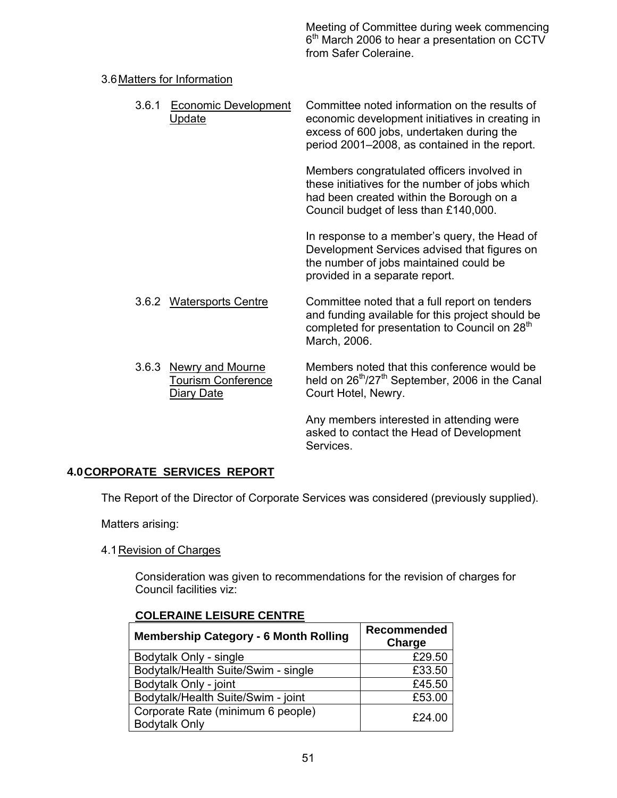Meeting of Committee during week commencing 6<sup>th</sup> March 2006 to hear a presentation on CCTV from Safer Coleraine.

## 3.6 Matters for Information

| 3.6.1 | <b>Economic Development</b><br>Update                             | Committee noted information on the results of<br>economic development initiatives in creating in<br>excess of 600 jobs, undertaken during the<br>period 2001–2008, as contained in the report. |
|-------|-------------------------------------------------------------------|------------------------------------------------------------------------------------------------------------------------------------------------------------------------------------------------|
|       |                                                                   | Members congratulated officers involved in<br>these initiatives for the number of jobs which<br>had been created within the Borough on a<br>Council budget of less than £140,000.              |
|       |                                                                   | In response to a member's query, the Head of<br>Development Services advised that figures on<br>the number of jobs maintained could be<br>provided in a separate report.                       |
|       | 3.6.2 Watersports Centre                                          | Committee noted that a full report on tenders<br>and funding available for this project should be<br>completed for presentation to Council on 28 <sup>th</sup><br>March, 2006.                 |
|       | 3.6.3 Newry and Mourne<br><b>Tourism Conference</b><br>Diary Date | Members noted that this conference would be<br>held on 26 <sup>th</sup> /27 <sup>th</sup> September, 2006 in the Canal<br>Court Hotel, Newry.                                                  |
|       |                                                                   | Any members interested in attending were<br>asked to contact the Head of Development<br>Services.                                                                                              |

## **4.0 CORPORATE SERVICES REPORT**

The Report of the Director of Corporate Services was considered (previously supplied).

Matters arising:

## 4.1 Revision of Charges

Consideration was given to recommendations for the revision of charges for Council facilities viz:

| <b>Membership Category - 6 Month Rolling</b>              | Recommended<br>Charge |
|-----------------------------------------------------------|-----------------------|
| Bodytalk Only - single                                    | £29.50                |
| Bodytalk/Health Suite/Swim - single                       | £33.50                |
| Bodytalk Only - joint                                     | £45.50                |
| Bodytalk/Health Suite/Swim - joint                        | £53.00                |
| Corporate Rate (minimum 6 people)<br><b>Bodytalk Only</b> | £24.00                |

## **COLERAINE LEISURE CENTRE**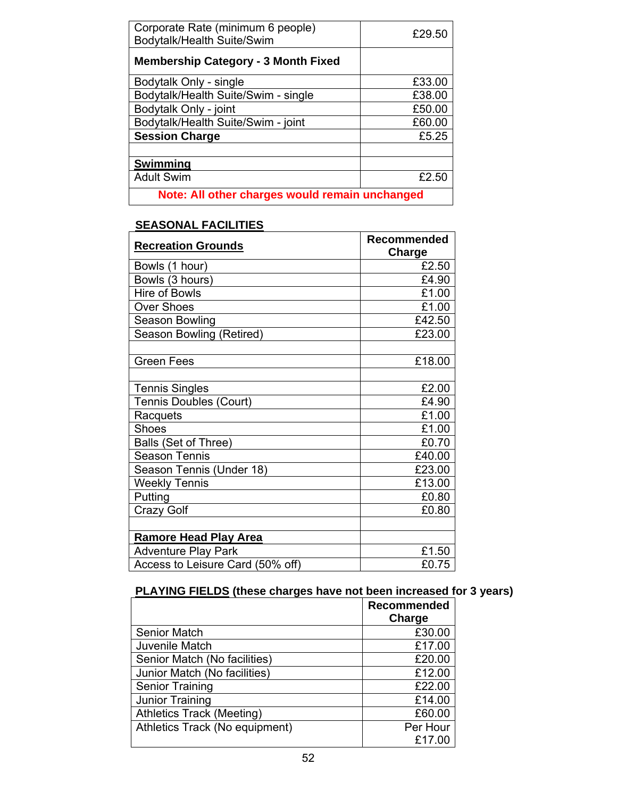| Corporate Rate (minimum 6 people)<br>Bodytalk/Health Suite/Swim | £29.50 |  |
|-----------------------------------------------------------------|--------|--|
| <b>Membership Category - 3 Month Fixed</b>                      |        |  |
| Bodytalk Only - single                                          | £33.00 |  |
| Bodytalk/Health Suite/Swim - single                             | £38.00 |  |
| Bodytalk Only - joint                                           | £50.00 |  |
| Bodytalk/Health Suite/Swim - joint                              | £60.00 |  |
| <b>Session Charge</b>                                           | £5.25  |  |
|                                                                 |        |  |
| <b>Swimming</b>                                                 |        |  |
| <b>Adult Swim</b>                                               | £2.50  |  |
| Note: All other charges would remain unchanged                  |        |  |

## **SEASONAL FACILITIES**

| <b>Recreation Grounds</b>        | <b>Recommended</b><br>Charge |
|----------------------------------|------------------------------|
| Bowls (1 hour)                   | £2.50                        |
| Bowls (3 hours)                  | £4.90                        |
| <b>Hire of Bowls</b>             | £1.00                        |
| <b>Over Shoes</b>                | £1.00                        |
| Season Bowling                   | £42.50                       |
| Season Bowling (Retired)         | £23.00                       |
|                                  |                              |
| <b>Green Fees</b>                | £18.00                       |
|                                  |                              |
| <b>Tennis Singles</b>            | £2.00                        |
| <b>Tennis Doubles (Court)</b>    | £4.90                        |
| Racquets                         | £1.00                        |
| <b>Shoes</b>                     | £1.00                        |
| Balls (Set of Three)             | £0.70                        |
| <b>Season Tennis</b>             | £40.00                       |
| Season Tennis (Under 18)         | £23.00                       |
| <b>Weekly Tennis</b>             | £13.00                       |
| Putting                          | £0.80                        |
| <b>Crazy Golf</b>                | £0.80                        |
|                                  |                              |
| <b>Ramore Head Play Area</b>     |                              |
| <b>Adventure Play Park</b>       | £1.50                        |
| Access to Leisure Card (50% off) | £0.75                        |

# **PLAYING FIELDS (these charges have not been increased for 3 years)**

|                                  | Recommended |
|----------------------------------|-------------|
|                                  | Charge      |
| <b>Senior Match</b>              | £30.00      |
| Juvenile Match                   | £17.00      |
| Senior Match (No facilities)     | £20.00      |
| Junior Match (No facilities)     | £12.00      |
| Senior Training                  | £22.00      |
| Junior Training                  | £14.00      |
| <b>Athletics Track (Meeting)</b> | £60.00      |
| Athletics Track (No equipment)   | Per Hour    |
|                                  | £17.00      |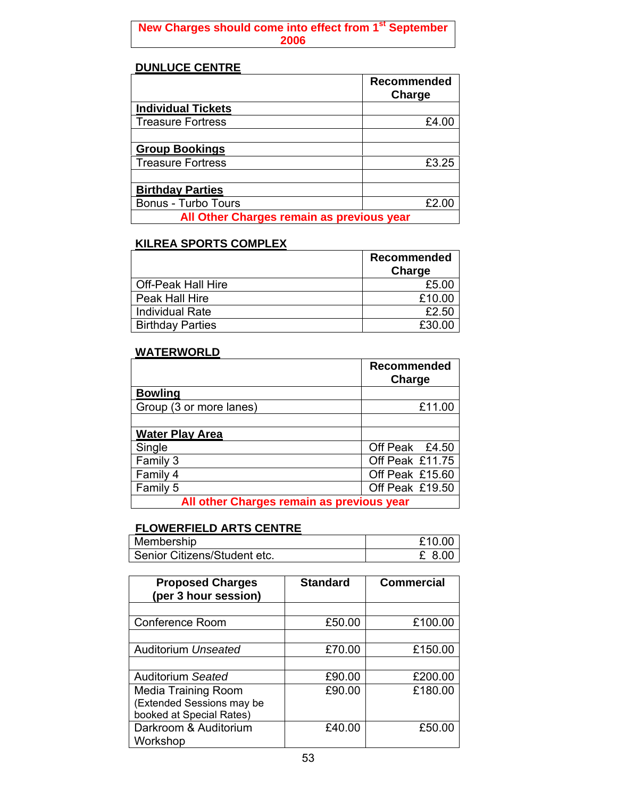## **New Charges should come into effect from 1st September 2006**

## **DUNLUCE CENTRE**

|                                           | <b>Recommended</b><br>Charge |  |
|-------------------------------------------|------------------------------|--|
| <b>Individual Tickets</b>                 |                              |  |
| <b>Treasure Fortress</b>                  | £4.00                        |  |
|                                           |                              |  |
| <b>Group Bookings</b>                     |                              |  |
| <b>Treasure Fortress</b>                  | £3.25                        |  |
|                                           |                              |  |
| <b>Birthday Parties</b>                   |                              |  |
| <b>Bonus - Turbo Tours</b>                | £2.00                        |  |
| All Other Charges remain as previous year |                              |  |

## **KILREA SPORTS COMPLEX**

|                           | <b>Recommended</b> |
|---------------------------|--------------------|
|                           | Charge             |
| <b>Off-Peak Hall Hire</b> | £5.00              |
| Peak Hall Hire            | £10.00             |
| <b>Individual Rate</b>    | £2.50              |
| <b>Birthday Parties</b>   | £30.00             |

## **WATERWORLD**

|                                           | <b>Recommended</b><br>Charge |
|-------------------------------------------|------------------------------|
| <b>Bowling</b>                            |                              |
| Group (3 or more lanes)                   | £11.00                       |
|                                           |                              |
| <b>Water Play Area</b>                    |                              |
| Single                                    | Off Peak £4.50               |
| Family 3                                  | Off Peak £11.75              |
| Family 4                                  | Off Peak £15.60              |
| Family 5                                  | Off Peak £19.50              |
| All other Charges remain as previous year |                              |

# **FLOWERFIELD ARTS CENTRE**

| Membership                   | £10.00 |
|------------------------------|--------|
| Senior Citizens/Student etc. | . 8.00 |

| <b>Proposed Charges</b><br>(per 3 hour session) | <b>Standard</b> | <b>Commercial</b> |
|-------------------------------------------------|-----------------|-------------------|
|                                                 |                 |                   |
| <b>Conference Room</b>                          | £50.00          | £100.00           |
|                                                 |                 |                   |
| Auditorium Unseated                             | £70.00          | £150.00           |
|                                                 |                 |                   |
| Auditorium Seated                               | £90.00          | £200.00           |
| <b>Media Training Room</b>                      | £90.00          | £180.00           |
| (Extended Sessions may be                       |                 |                   |
| booked at Special Rates)                        |                 |                   |
| Darkroom & Auditorium                           | £40.00          | £50.00            |
| Workshop                                        |                 |                   |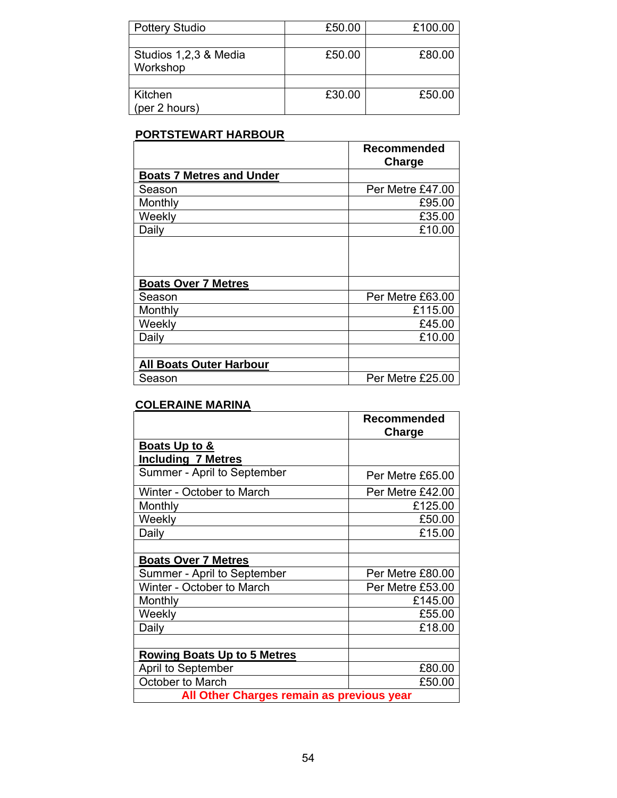| <b>Pottery Studio</b> | £50.00 | £100.00 |
|-----------------------|--------|---------|
|                       |        |         |
| Studios 1,2,3 & Media | £50.00 | £80.00  |
| Workshop              |        |         |
|                       |        |         |
| Kitchen               | £30.00 | £50.00  |
| (per 2 hours)         |        |         |

## **PORTSTEWART HARBOUR**

|                                 | Recommended<br>Charge |
|---------------------------------|-----------------------|
| <b>Boats 7 Metres and Under</b> |                       |
| Season                          | Per Metre £47.00      |
| Monthly                         | £95.00                |
| Weekly                          | £35.00                |
| Daily                           | £10.00                |
|                                 |                       |
| <b>Boats Over 7 Metres</b>      |                       |
| Season                          | Per Metre £63.00      |
| Monthly                         | £115.00               |
| Weekly                          | £45.00                |
| Daily                           | £10.00                |
|                                 |                       |
| <b>All Boats Outer Harbour</b>  |                       |
| Season                          | Per Metre £25.00      |

## **COLERAINE MARINA**

|                                            | Recommended<br>Charge |
|--------------------------------------------|-----------------------|
| Boats Up to &<br><b>Including 7 Metres</b> |                       |
| Summer - April to September                | Per Metre £65.00      |
| Winter - October to March                  | Per Metre £42.00      |
| Monthly                                    | £125.00               |
| Weekly                                     | £50.00                |
| Daily                                      | £15.00                |
|                                            |                       |
| <b>Boats Over 7 Metres</b>                 |                       |
| Summer - April to September                | Per Metre £80.00      |
| Winter - October to March                  | Per Metre £53.00      |
| Monthly                                    | £145.00               |
| Weekly                                     | £55.00                |
| Daily                                      | £18.00                |
|                                            |                       |
| <b>Rowing Boats Up to 5 Metres</b>         |                       |
| April to September                         | £80.00                |
| October to March                           | £50.00                |
| All Other Charges remain as previous year  |                       |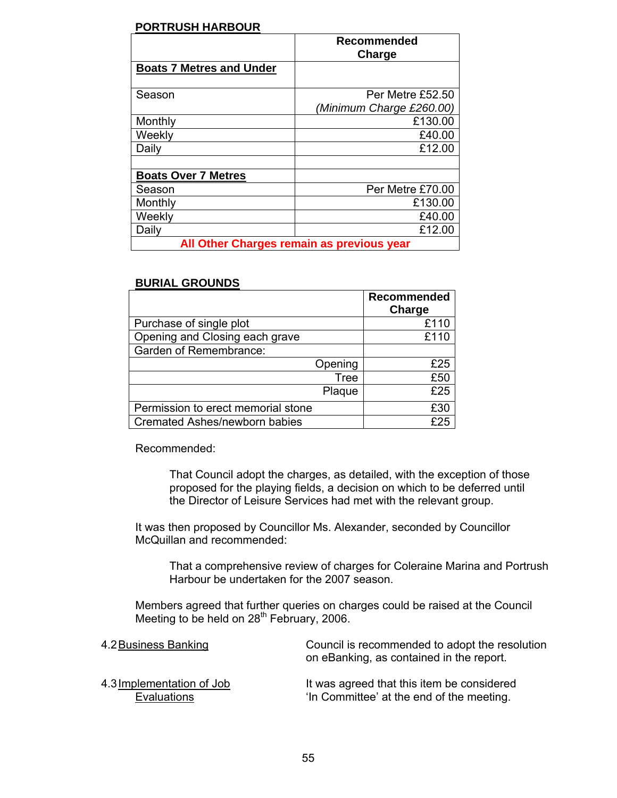## **PORTRUSH HARBOUR**

|                                           | <b>Recommended</b><br>Charge                 |
|-------------------------------------------|----------------------------------------------|
| <b>Boats 7 Metres and Under</b>           |                                              |
| Season                                    | Per Metre £52.50<br>(Minimum Charge £260.00) |
| Monthly                                   | £130.00                                      |
| Weekly                                    | £40.00                                       |
| Daily                                     | £12.00                                       |
|                                           |                                              |
| <b>Boats Over 7 Metres</b>                |                                              |
| Season                                    | Per Metre £70.00                             |
| Monthly                                   | £130.00                                      |
| Weekly                                    | £40.00                                       |
| Daily                                     | £12.00                                       |
| All Other Charges remain as previous year |                                              |

#### **BURIAL GROUNDS**

|                                    | <b>Recommended</b><br>Charge |
|------------------------------------|------------------------------|
| Purchase of single plot            | £110                         |
| Opening and Closing each grave     | £110                         |
| Garden of Remembrance:             |                              |
| Opening                            | £25                          |
| <b>Tree</b>                        | £50                          |
| Plaque                             | £25                          |
| Permission to erect memorial stone | £30                          |
| Cremated Ashes/newborn babies      | £25                          |

Recommended:

 That Council adopt the charges, as detailed, with the exception of those proposed for the playing fields, a decision on which to be deferred until the Director of Leisure Services had met with the relevant group.

 It was then proposed by Councillor Ms. Alexander, seconded by Councillor McQuillan and recommended:

 That a comprehensive review of charges for Coleraine Marina and Portrush Harbour be undertaken for the 2007 season.

 Members agreed that further queries on charges could be raised at the Council Meeting to be held on  $28<sup>th</sup>$  February, 2006.

| 4.2 <u>Business Banking</u> | Council is recommended to adopt the resolution<br>on eBanking, as contained in the report. |
|-----------------------------|--------------------------------------------------------------------------------------------|
| 4.3 Implementation of Job   | It was agreed that this item be considered                                                 |
| Evaluations                 | 'In Committee' at the end of the meeting.                                                  |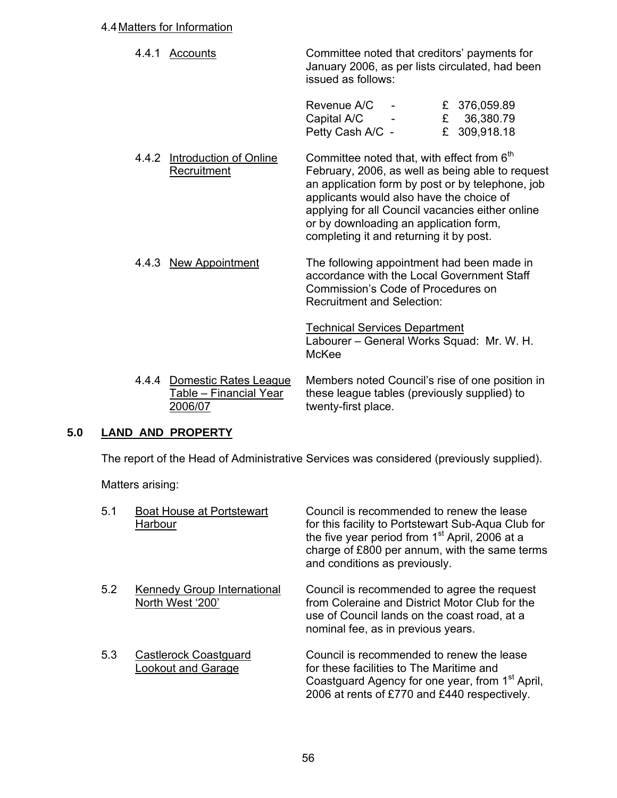#### 4.4 Matters for Information

| 4.4.1 Accounts | Committee noted that creditors' payments for<br>January 2006, as per lists circulated, had been<br>issued as follows: |
|----------------|-----------------------------------------------------------------------------------------------------------------------|
|                |                                                                                                                       |

| Revenue A/C      | $\overline{\phantom{0}}$ | £ 376,059.89 |
|------------------|--------------------------|--------------|
| Capital A/C      |                          | £ 36,380.79  |
| Petty Cash A/C - |                          | £ 309,918.18 |

- 4.4.2 Introduction of Online Committee noted that, with effect from 6<sup>th</sup> Recruitment February, 2006, as well as being able to request an application form by post or by telephone, job applicants would also have the choice of applying for all Council vacancies either online or by downloading an application form, completing it and returning it by post.
	- 4.4.3 New Appointment The following appointment had been made in accordance with the Local Government Staff Commission's Code of Procedures on Recruitment and Selection:

Technical Services Department Labourer – General Works Squad: Mr. W. H. McKee

 4.4.4 Domestic Rates League Members noted Council's rise of one position in Table – Financial Year these league tables (previously supplied) to 2006/07 twenty-first place.

## **5.0 LAND AND PROPERTY**

The report of the Head of Administrative Services was considered (previously supplied).

Matters arising:

| 5.1 | <b>Boat House at Portstewart</b><br>Harbour       | Council is recommended to renew the lease<br>for this facility to Portstewart Sub-Aqua Club for<br>the five year period from 1 <sup>st</sup> April, 2006 at a<br>charge of £800 per annum, with the same terms<br>and conditions as previously. |
|-----|---------------------------------------------------|-------------------------------------------------------------------------------------------------------------------------------------------------------------------------------------------------------------------------------------------------|
| 5.2 | Kennedy Group International<br>North West '200'   | Council is recommended to agree the request<br>from Coleraine and District Motor Club for the<br>use of Council lands on the coast road, at a<br>nominal fee, as in previous years.                                                             |
| 5.3 | <b>Castlerock Coastguard</b><br>ookout and Garage | Council is recommended to renew the lease<br>for these facilities to The Maritime and<br>Coastguard Agency for one year, from 1 <sup>st</sup> April,<br>2006 at rents of £770 and £440 respectively.                                            |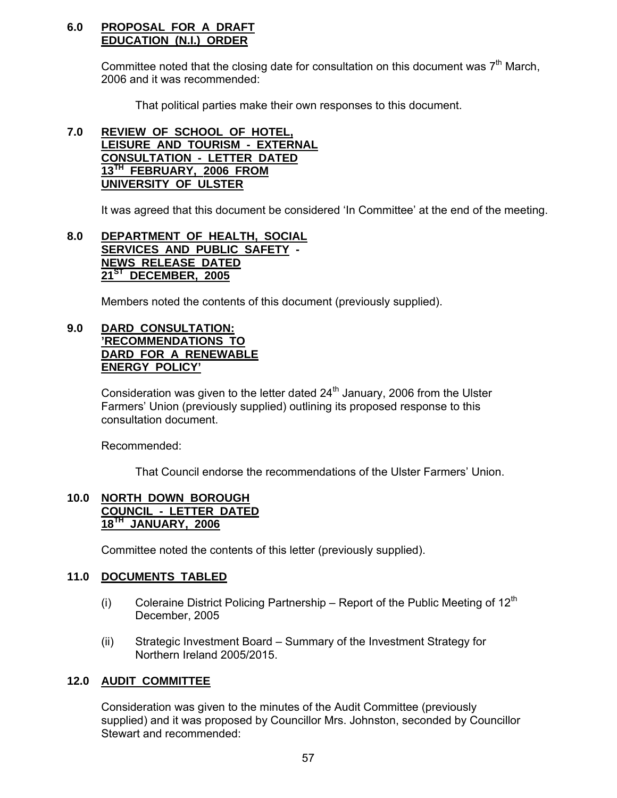#### **6.0 PROPOSAL FOR A DRAFT EDUCATION (N.I.) ORDER**

Committee noted that the closing date for consultation on this document was  $7<sup>th</sup>$  March, 2006 and it was recommended:

That political parties make their own responses to this document.

## **7.0 REVIEW OF SCHOOL OF HOTEL, LEISURE AND TOURISM - EXTERNAL CONSULTATION - LETTER DATED 13TH FEBRUARY, 2006 FROM UNIVERSITY OF ULSTER**

It was agreed that this document be considered 'In Committee' at the end of the meeting.

## **8.0 DEPARTMENT OF HEALTH, SOCIAL SERVICES AND PUBLIC SAFETY - NEWS RELEASE DATED 21ST DECEMBER, 2005**

Members noted the contents of this document (previously supplied).

## **9.0 DARD CONSULTATION: 'RECOMMENDATIONS TO DARD FOR A RENEWABLE ENERGY POLICY'**

Consideration was given to the letter dated  $24<sup>th</sup>$  January, 2006 from the Ulster Farmers' Union (previously supplied) outlining its proposed response to this consultation document.

Recommended:

That Council endorse the recommendations of the Ulster Farmers' Union.

## **10.0 NORTH DOWN BOROUGH COUNCIL - LETTER DATED 18TH JANUARY, 2006**

Committee noted the contents of this letter (previously supplied).

## **11.0 DOCUMENTS TABLED**

- (i) Coleraine District Policing Partnership Report of the Public Meeting of  $12<sup>th</sup>$ December, 2005
- (ii) Strategic Investment Board Summary of the Investment Strategy for Northern Ireland 2005/2015.

## **12.0 AUDIT COMMITTEE**

Consideration was given to the minutes of the Audit Committee (previously supplied) and it was proposed by Councillor Mrs. Johnston, seconded by Councillor Stewart and recommended: